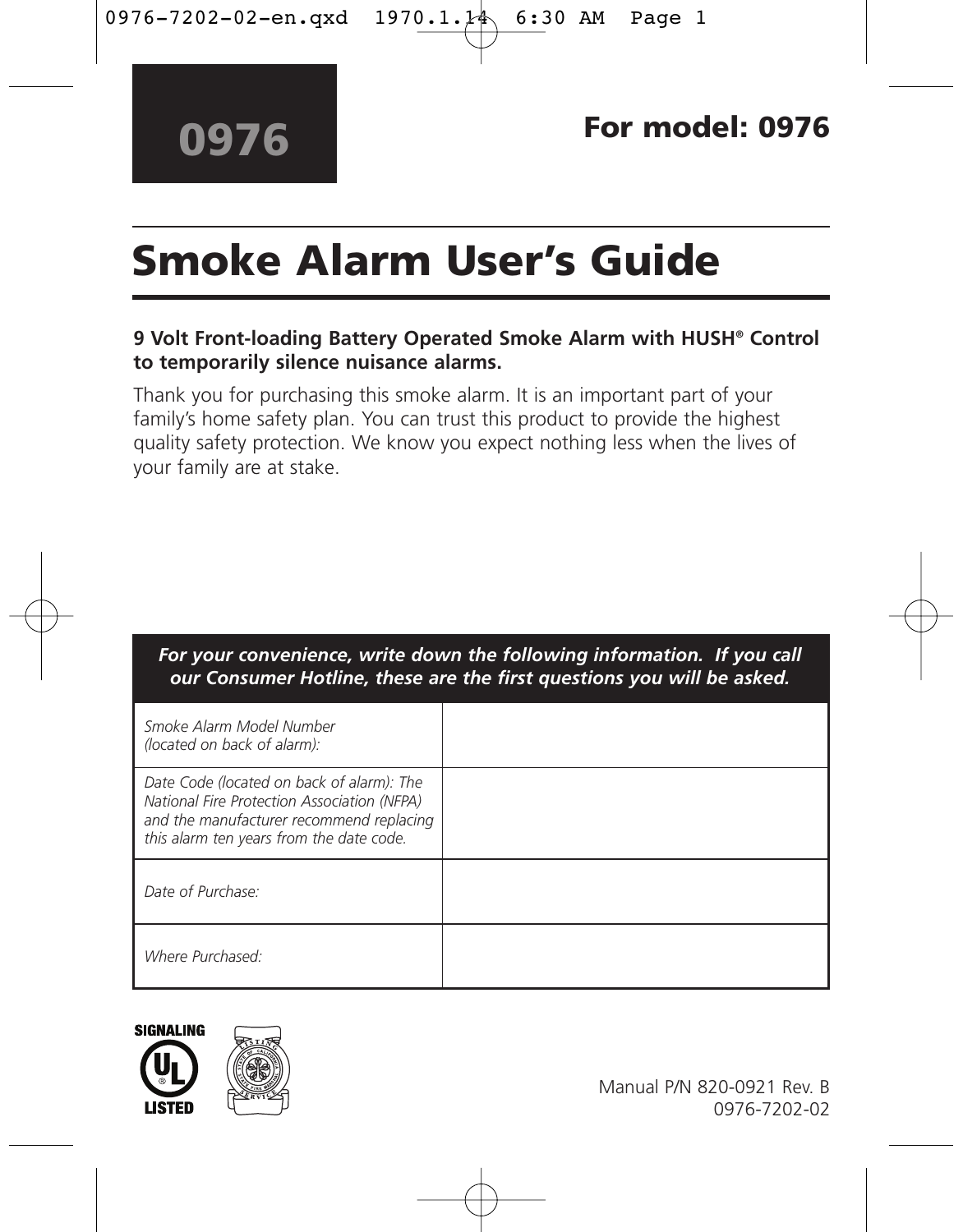# **Smoke Alarm User's Guide**

### **9 Volt Front-loading Battery Operated Smoke Alarm with HUSH® Control to temporarily silence nuisance alarms.**

Thank you for purchasing this smoke alarm. It is an important part of your family's home safety plan. You can trust this product to provide the highest quality safety protection. We know you expect nothing less when the lives of your family are at stake.

### *For your convenience, write down the following information. If you call our Consumer Hotline, these are the first questions you will be asked.*

| Smoke Alarm Model Number<br>(located on back of alarm):                                                                                                                          |  |
|----------------------------------------------------------------------------------------------------------------------------------------------------------------------------------|--|
| Date Code (located on back of alarm): The<br>National Fire Protection Association (NFPA)<br>and the manufacturer recommend replacing<br>this alarm ten years from the date code. |  |
| Date of Purchase:                                                                                                                                                                |  |
| Where Purchased:                                                                                                                                                                 |  |



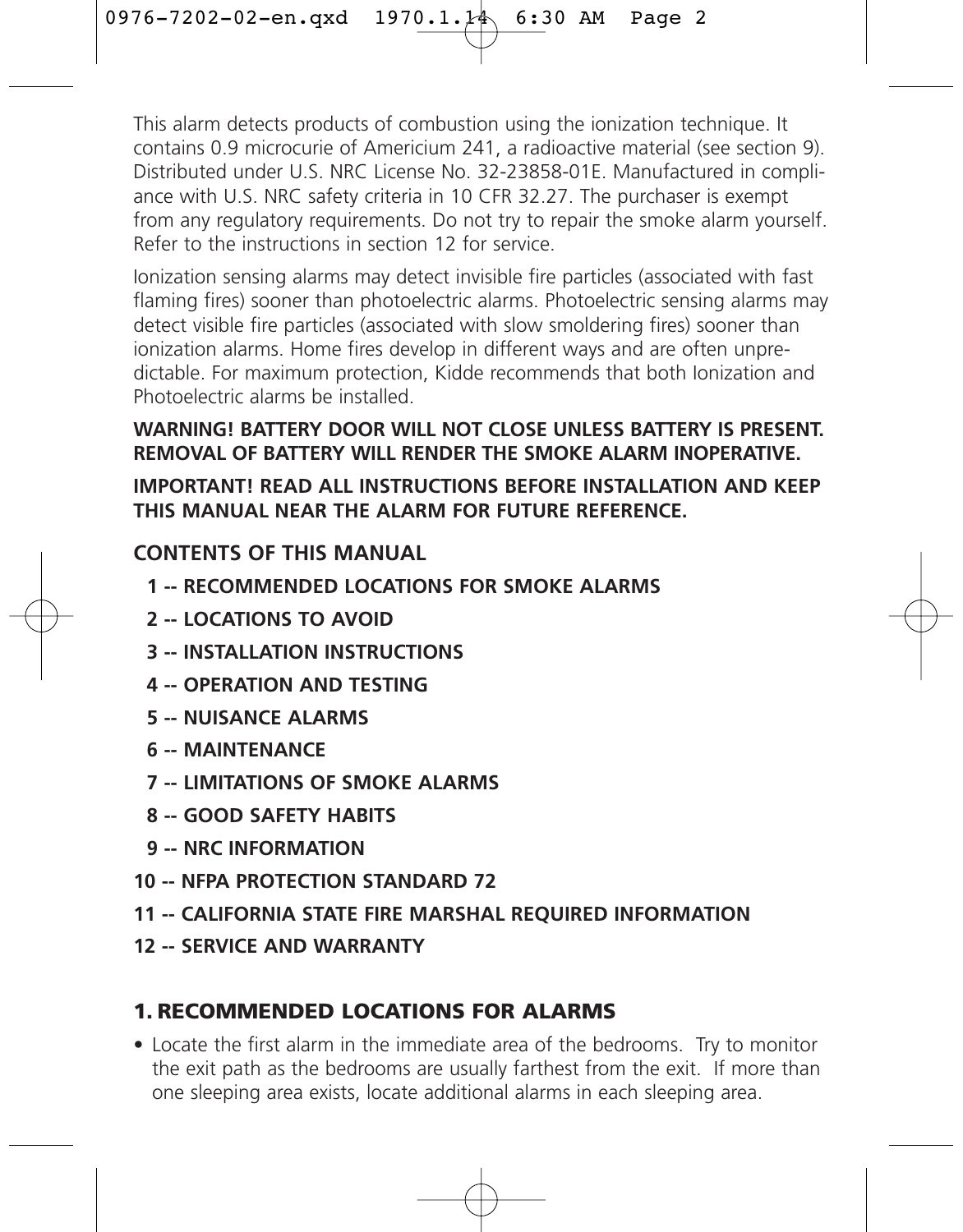This alarm detects products of combustion using the ionization technique. It contains 0.9 microcurie of Americium 241, a radioactive material (see section 9). Distributed under U.S. NRC License No. 32-23858-01E. Manufactured in compliance with U.S. NRC safety criteria in 10 CFR 32.27. The purchaser is exempt from any regulatory requirements. Do not try to repair the smoke alarm yourself. Refer to the instructions in section 12 for service.

Ionization sensing alarms may detect invisible fire particles (associated with fast flaming fires) sooner than photoelectric alarms. Photoelectric sensing alarms may detect visible fire particles (associated with slow smoldering fires) sooner than ionization alarms. Home fires develop in different ways and are often unpredictable. For maximum protection, Kidde recommends that both Ionization and Photoelectric alarms be installed.

### **WARNING! BATTERY DOOR WILL NOT CLOSE UNLESS BATTERY IS PRESENT. REMOVAL OF BATTERY WILL RENDER THE SMOKE ALARM INOPERATIVE. IMPORTANT! READ ALL INSTRUCTIONS BEFORE INSTALLATION AND KEEP THIS MANUAL NEAR THE ALARM FOR FUTURE REFERENCE.**

### **CONTENTS OF THIS MANUAL**

- **1 -- RECOMMENDED LOCATIONS FOR SMOKE ALARMS**
- **2 -- LOCATIONS TO AVOID**
- **3 -- INSTALLATION INSTRUCTIONS**
- **4 -- OPERATION AND TESTING**
- **5 -- NUISANCE ALARMS**
- **6 -- MAINTENANCE**
- **7 -- LIMITATIONS OF SMOKE ALARMS**
- **8 -- GOOD SAFETY HABITS**
- **9 -- NRC INFORMATION**
- **10 -- NFPA PROTECTION STANDARD 72**
- **11 -- CALIFORNIA STATE FIRE MARSHAL REQUIRED INFORMATION**
- **12 -- SERVICE AND WARRANTY**

### **1. RECOMMENDED LOCATIONS FOR ALARMS**

• Locate the first alarm in the immediate area of the bedrooms. Try to monitor the exit path as the bedrooms are usually farthest from the exit. If more than one sleeping area exists, locate additional alarms in each sleeping area.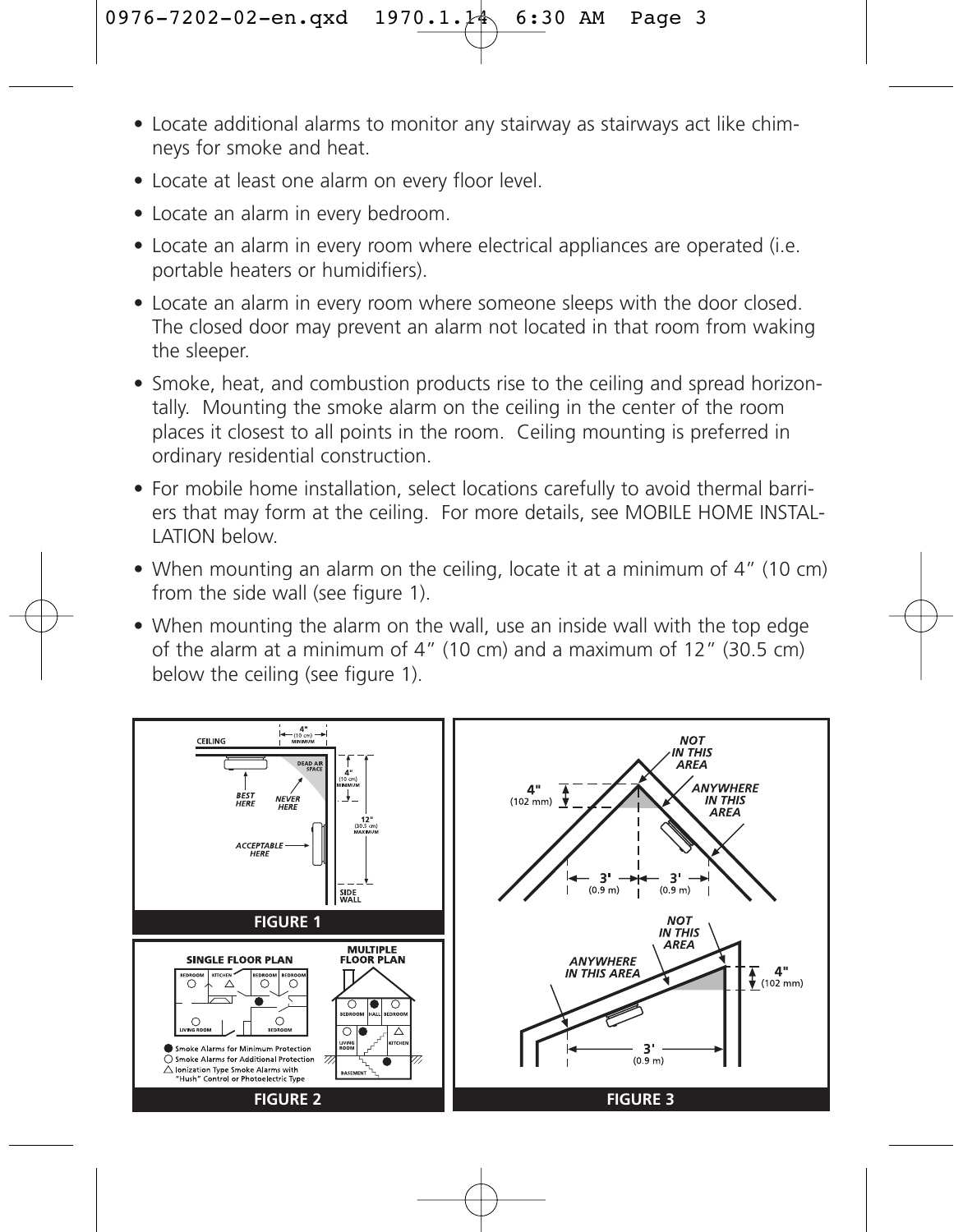- Locate additional alarms to monitor any stairway as stairways act like chimneys for smoke and heat.
- Locate at least one alarm on every floor level
- Locate an alarm in every bedroom.
- Locate an alarm in every room where electrical appliances are operated (i.e. portable heaters or humidifiers).
- Locate an alarm in every room where someone sleeps with the door closed. The closed door may prevent an alarm not located in that room from waking the sleeper.
- Smoke, heat, and combustion products rise to the ceiling and spread horizontally. Mounting the smoke alarm on the ceiling in the center of the room places it closest to all points in the room. Ceiling mounting is preferred in ordinary residential construction.
- For mobile home installation, select locations carefully to avoid thermal barriers that may form at the ceiling. For more details, see MOBILE HOME INSTAL-LATION below.
- When mounting an alarm on the ceiling, locate it at a minimum of 4" (10 cm) from the side wall (see figure 1).
- When mounting the alarm on the wall, use an inside wall with the top edge of the alarm at a minimum of 4" (10 cm) and a maximum of 12" (30.5 cm) below the ceiling (see figure 1).

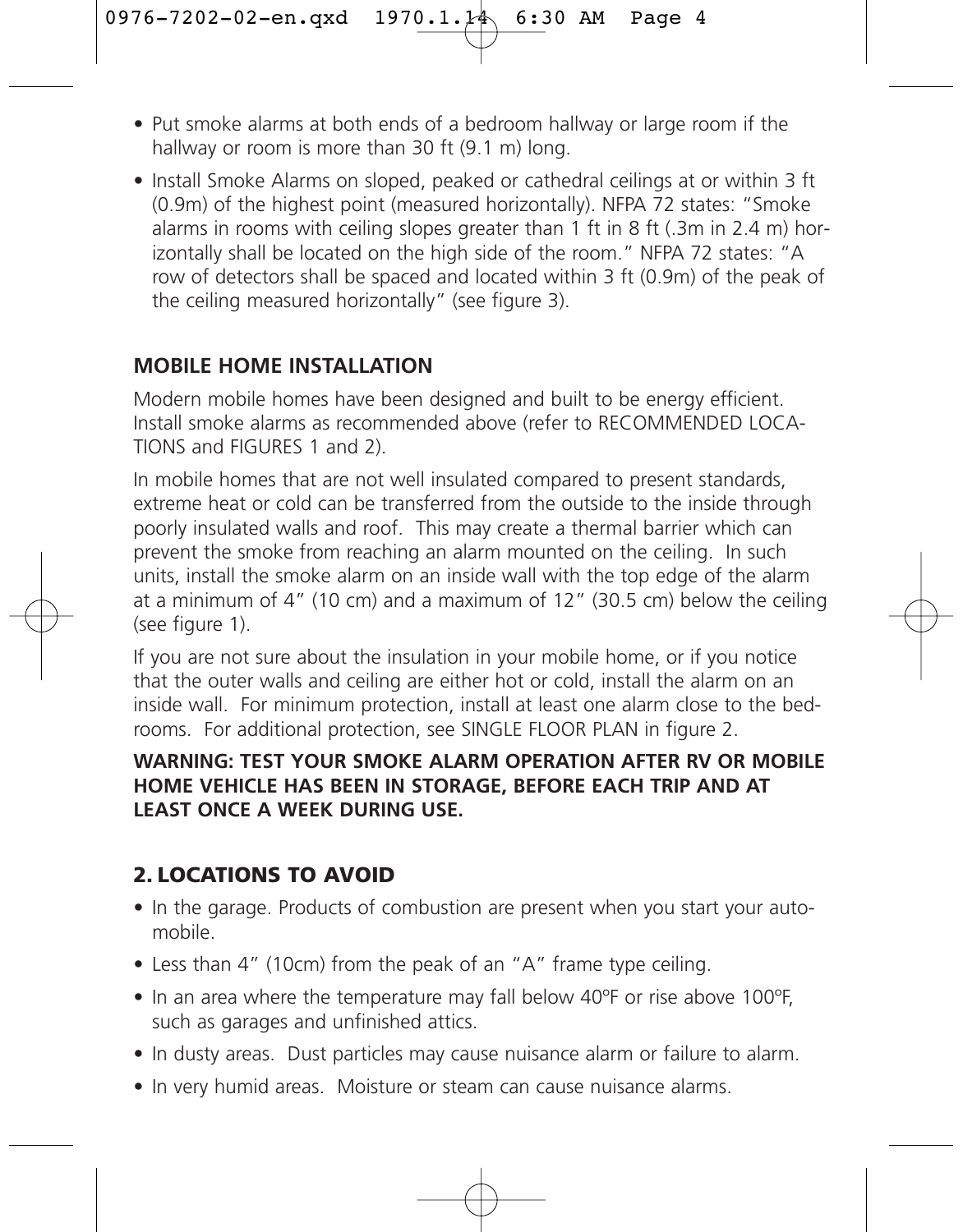- Put smoke alarms at both ends of a bedroom hallway or large room if the hallway or room is more than 30 ft (9.1 m) long.
- Install Smoke Alarms on sloped, peaked or cathedral ceilings at or within 3 ft (0.9m) of the highest point (measured horizontally). NFPA 72 states: "Smoke alarms in rooms with ceiling slopes greater than 1 ft in 8 ft (.3m in 2.4 m) horizontally shall be located on the high side of the room." NFPA 72 states: "A row of detectors shall be spaced and located within 3 ft (0.9m) of the peak of the ceiling measured horizontally" (see figure 3).

### **MOBILE HOME INSTALLATION**

Modern mobile homes have been designed and built to be energy efficient. Install smoke alarms as recommended above (refer to RECOMMENDED LOCA-TIONS and FIGURES 1 and 2).

In mobile homes that are not well insulated compared to present standards, extreme heat or cold can be transferred from the outside to the inside through poorly insulated walls and roof. This may create a thermal barrier which can prevent the smoke from reaching an alarm mounted on the ceiling. In such units, install the smoke alarm on an inside wall with the top edge of the alarm at a minimum of 4" (10 cm) and a maximum of 12" (30.5 cm) below the ceiling (see figure 1).

If you are not sure about the insulation in your mobile home, or if you notice that the outer walls and ceiling are either hot or cold, install the alarm on an inside wall. For minimum protection, install at least one alarm close to the bedrooms. For additional protection, see SINGLE FLOOR PLAN in figure 2.

### **WARNING: TEST YOUR SMOKE ALARM OPERATION AFTER RV OR MOBILE HOME VEHICLE HAS BEEN IN STORAGE, BEFORE EACH TRIP AND AT LEAST ONCE A WEEK DURING USE.**

## **2. LOCATIONS TO AVOID**

- In the garage. Products of combustion are present when you start your automobile.
- Less than 4" (10cm) from the peak of an "A" frame type ceiling.
- In an area where the temperature may fall below 40ºF or rise above 100ºF, such as garages and unfinished attics.
- In dusty areas. Dust particles may cause nuisance alarm or failure to alarm.
- In very humid areas. Moisture or steam can cause nuisance alarms.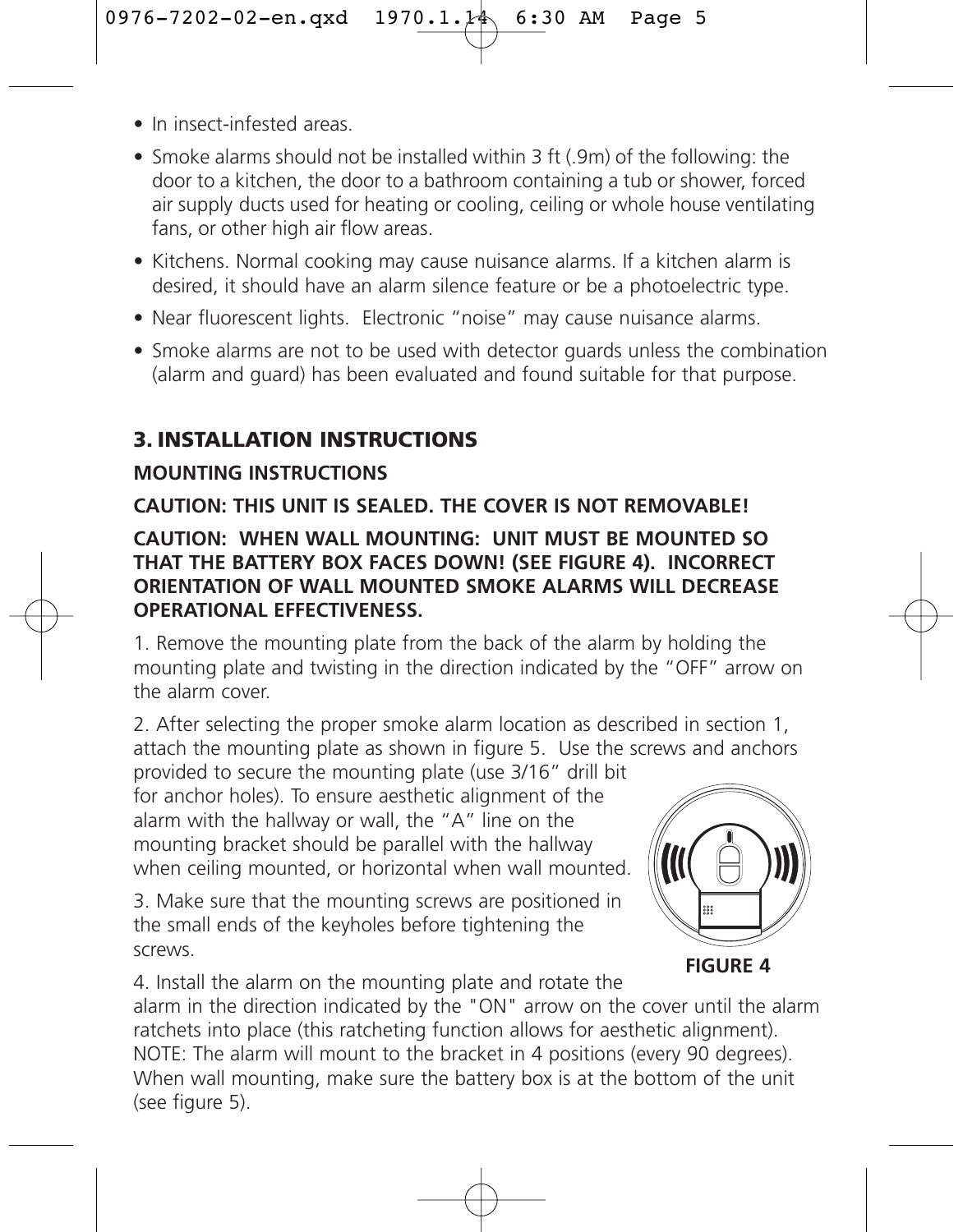- In insect-infested areas.
- Smoke alarms should not be installed within 3 ft (.9m) of the following: the door to a kitchen, the door to a bathroom containing a tub or shower, forced air supply ducts used for heating or cooling, ceiling or whole house ventilating fans, or other high air flow areas.
- Kitchens. Normal cooking may cause nuisance alarms. If a kitchen alarm is desired, it should have an alarm silence feature or be a photoelectric type.
- Near fluorescent lights. Electronic "noise" may cause nuisance alarms.
- Smoke alarms are not to be used with detector guards unless the combination (alarm and guard) has been evaluated and found suitable for that purpose.

### **3. INSTALLATION INSTRUCTIONS**

### **MOUNTING INSTRUCTIONS**

### **CAUTION: THIS UNIT IS SEALED. THE COVER IS NOT REMOVABLE!**

### **CAUTION: WHEN WALL MOUNTING: UNIT MUST BE MOUNTED SO THAT THE BATTERY BOX FACES DOWN! (SEE FIGURE 4). INCORRECT ORIENTATION OF WALL MOUNTED SMOKE ALARMS WILL DECREASE OPERATIONAL EFFECTIVENESS.**

1. Remove the mounting plate from the back of the alarm by holding the mounting plate and twisting in the direction indicated by the "OFF" arrow on the alarm cover.

2. After selecting the proper smoke alarm location as described in section 1, attach the mounting plate as shown in figure 5. Use the screws and anchors

provided to secure the mounting plate (use 3/16" drill bit for anchor holes). To ensure aesthetic alignment of the alarm with the hallway or wall, the "A" line on the mounting bracket should be parallel with the hallway when ceiling mounted, or horizontal when wall mounted.

3. Make sure that the mounting screws are positioned in the small ends of the keyholes before tightening the screws.



4. Install the alarm on the mounting plate and rotate the alarm in the direction indicated by the "ON" arrow on the cover until the alarm ratchets into place (this ratcheting function allows for aesthetic alignment). NOTE: The alarm will mount to the bracket in 4 positions (every 90 degrees). When wall mounting, make sure the battery box is at the bottom of the unit (see figure 5).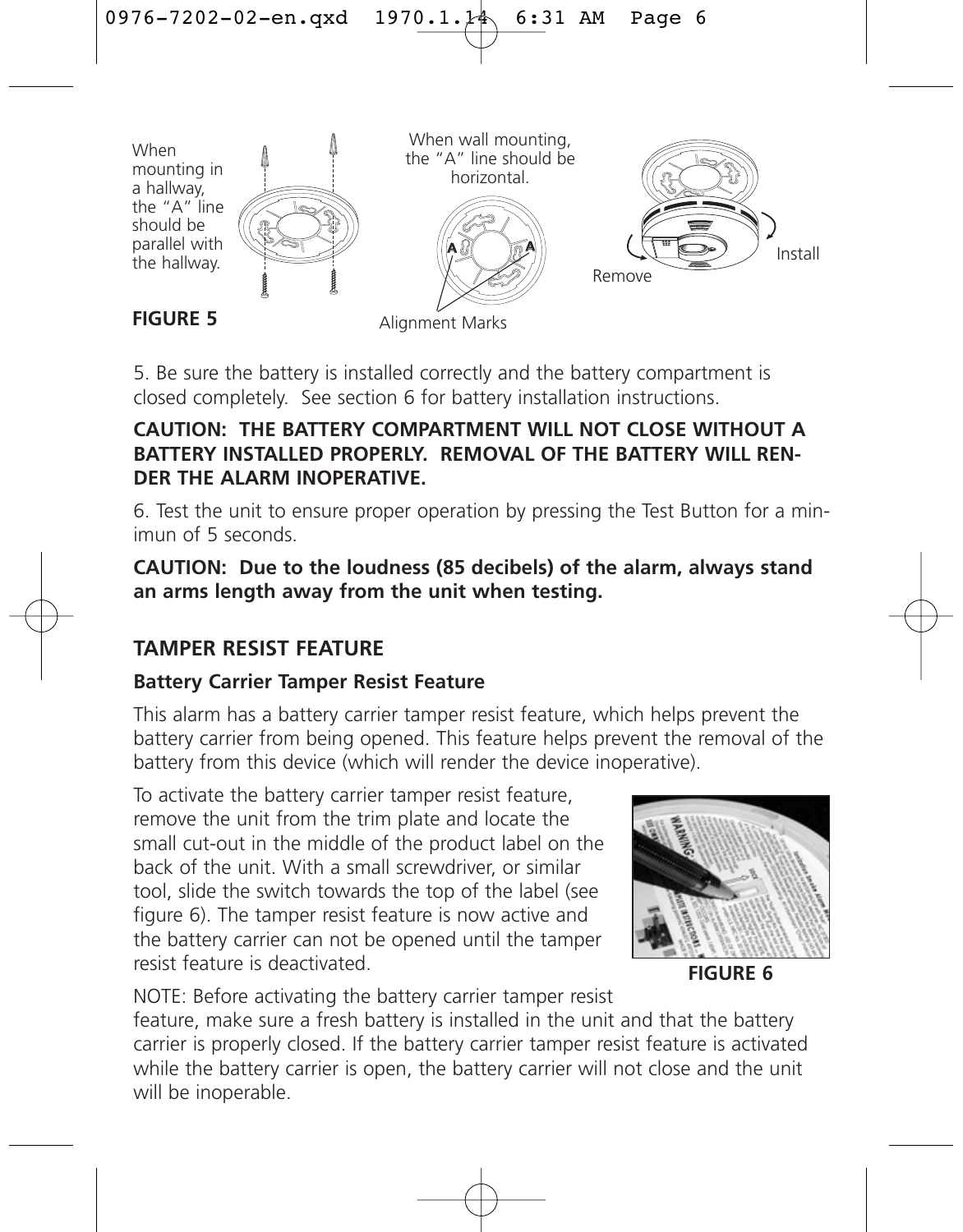

Alignment Marks

5. Be sure the battery is installed correctly and the battery compartment is closed completely. See section 6 for battery installation instructions.

### **CAUTION: THE BATTERY COMPARTMENT WILL NOT CLOSE WITHOUT A BATTERY INSTALLED PROPERLY. REMOVAL OF THE BATTERY WILL REN-DER THE ALARM INOPERATIVE.**

6. Test the unit to ensure proper operation by pressing the Test Button for a minimun of 5 seconds.

**CAUTION: Due to the loudness (85 decibels) of the alarm, always stand an arms length away from the unit when testing.**

### **TAMPER RESIST FEATURE**

### **Battery Carrier Tamper Resist Feature**

This alarm has a battery carrier tamper resist feature, which helps prevent the battery carrier from being opened. This feature helps prevent the removal of the battery from this device (which will render the device inoperative).

To activate the battery carrier tamper resist feature, remove the unit from the trim plate and locate the small cut-out in the middle of the product label on the back of the unit. With a small screwdriver, or similar tool, slide the switch towards the top of the label (see figure 6). The tamper resist feature is now active and the battery carrier can not be opened until the tamper resist feature is deactivated.



**FIGURE 6**

NOTE: Before activating the battery carrier tamper resist feature, make sure a fresh battery is installed in the unit and that the battery carrier is properly closed. If the battery carrier tamper resist feature is activated while the battery carrier is open, the battery carrier will not close and the unit will be inoperable.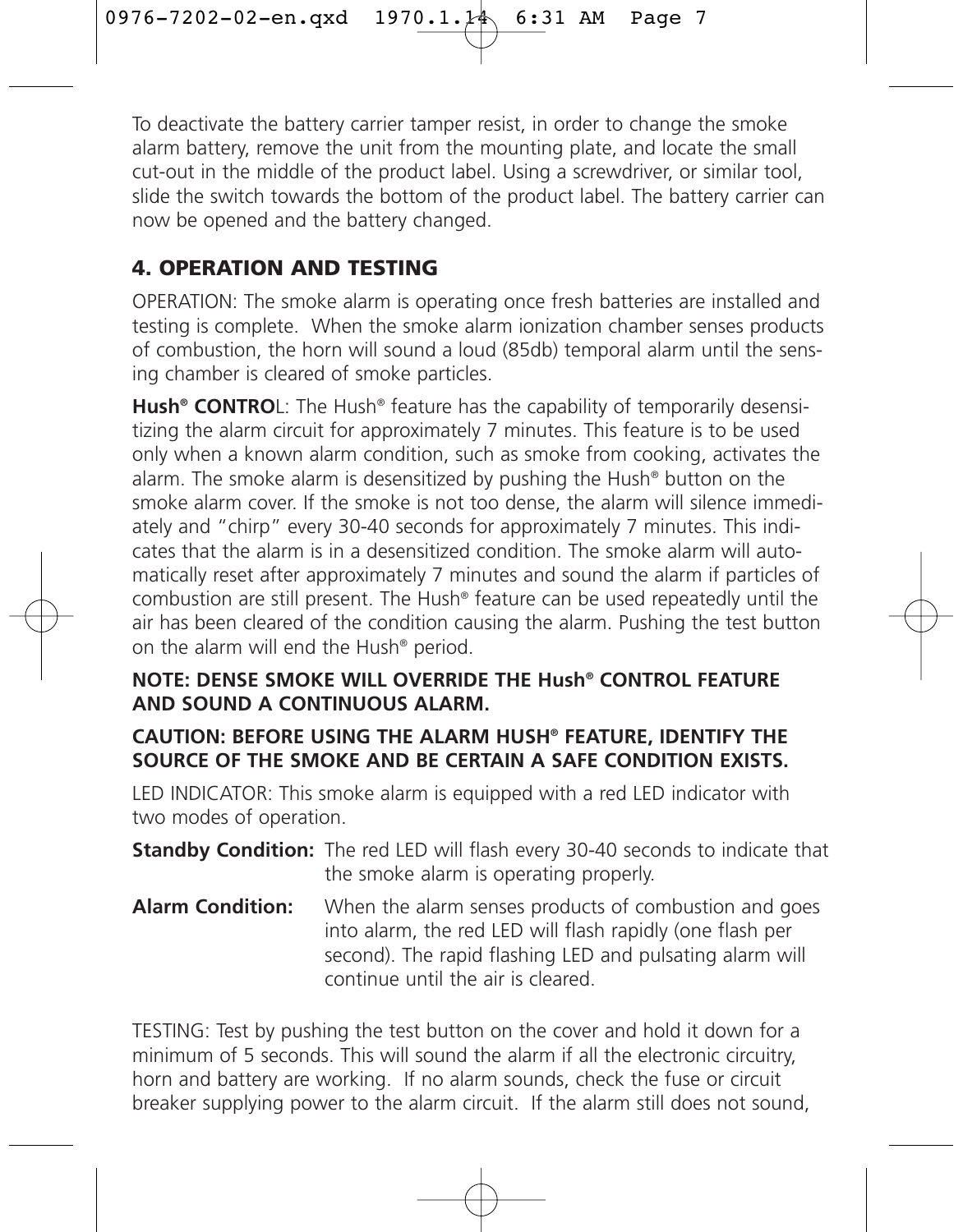To deactivate the battery carrier tamper resist, in order to change the smoke alarm battery, remove the unit from the mounting plate, and locate the small cut-out in the middle of the product label. Using a screwdriver, or similar tool, slide the switch towards the bottom of the product label. The battery carrier can now be opened and the battery changed.

## **4. OPERATION AND TESTING**

OPERATION: The smoke alarm is operating once fresh batteries are installed and testing is complete. When the smoke alarm ionization chamber senses products of combustion, the horn will sound a loud (85db) temporal alarm until the sensing chamber is cleared of smoke particles.

**Hush® CONTRO**L: The Hush® feature has the capability of temporarily desensitizing the alarm circuit for approximately 7 minutes. This feature is to be used only when a known alarm condition, such as smoke from cooking, activates the alarm. The smoke alarm is desensitized by pushing the Hush® button on the smoke alarm cover. If the smoke is not too dense, the alarm will silence immediately and "chirp" every 30-40 seconds for approximately 7 minutes. This indicates that the alarm is in a desensitized condition. The smoke alarm will automatically reset after approximately 7 minutes and sound the alarm if particles of combustion are still present. The Hush® feature can be used repeatedly until the air has been cleared of the condition causing the alarm. Pushing the test button on the alarm will end the Hush® period.

### **NOTE: DENSE SMOKE WILL OVERRIDE THE Hush® CONTROL FEATURE AND SOUND A CONTINUOUS ALARM.**

### **CAUTION: BEFORE USING THE ALARM HUSH® FEATURE, IDENTIFY THE SOURCE OF THE SMOKE AND BE CERTAIN A SAFE CONDITION EXISTS.**

LED INDICATOR: This smoke alarm is equipped with a red LED indicator with two modes of operation.

- **Standby Condition:** The red LED will flash every 30-40 seconds to indicate that the smoke alarm is operating properly.
- **Alarm Condition:** When the alarm senses products of combustion and goes into alarm, the red LED will flash rapidly (one flash per second). The rapid flashing LED and pulsating alarm will continue until the air is cleared.

TESTING: Test by pushing the test button on the cover and hold it down for a minimum of 5 seconds. This will sound the alarm if all the electronic circuitry, horn and battery are working. If no alarm sounds, check the fuse or circuit breaker supplying power to the alarm circuit. If the alarm still does not sound,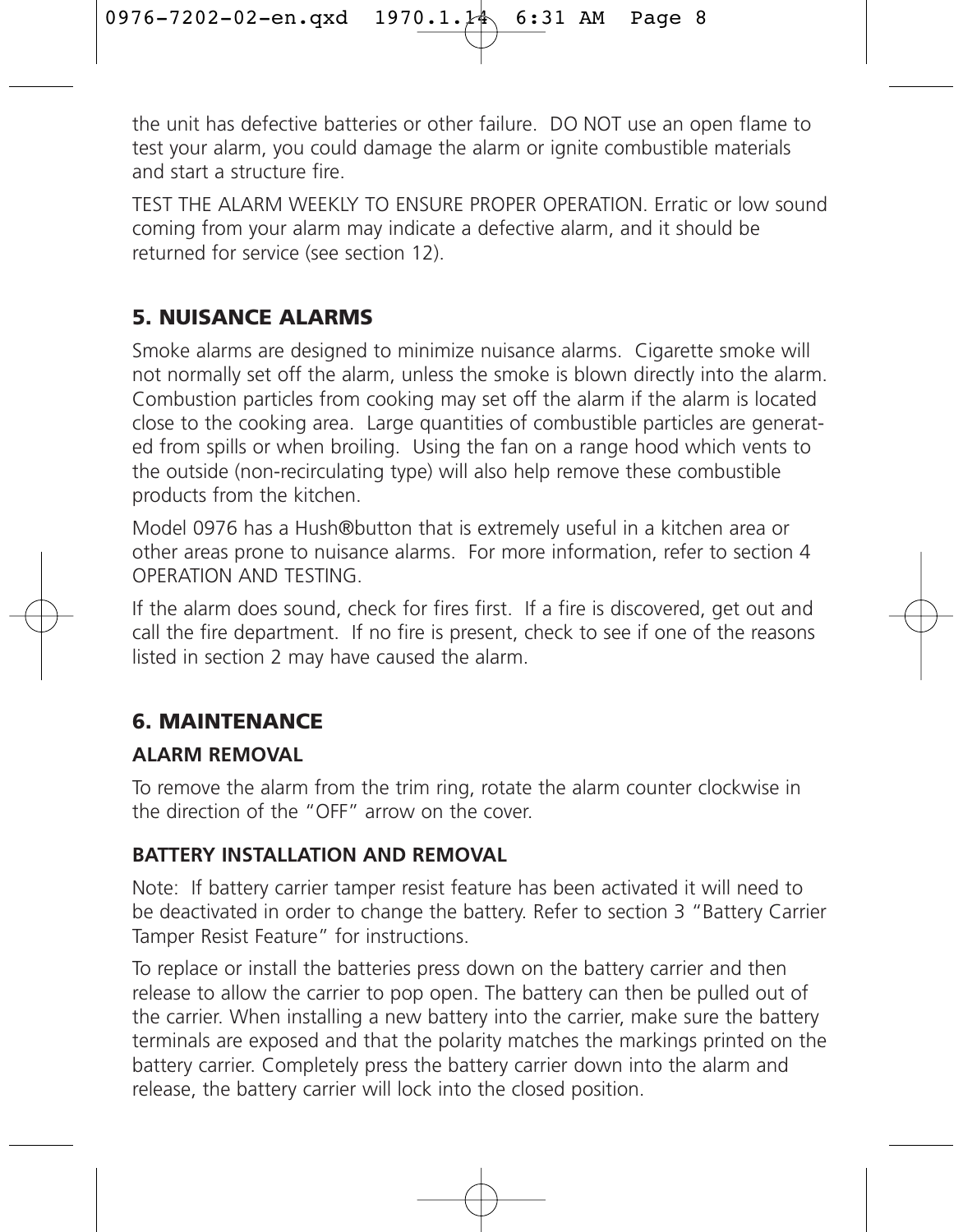the unit has defective batteries or other failure. DO NOT use an open flame to test your alarm, you could damage the alarm or ignite combustible materials and start a structure fire.

TEST THE ALARM WEEKLY TO ENSURE PROPER OPERATION. Erratic or low sound coming from your alarm may indicate a defective alarm, and it should be returned for service (see section 12).

### **5. NUISANCE ALARMS**

Smoke alarms are designed to minimize nuisance alarms. Cigarette smoke will not normally set off the alarm, unless the smoke is blown directly into the alarm. Combustion particles from cooking may set off the alarm if the alarm is located close to the cooking area. Large quantities of combustible particles are generated from spills or when broiling. Using the fan on a range hood which vents to the outside (non-recirculating type) will also help remove these combustible products from the kitchen.

Model 0976 has a Hush®button that is extremely useful in a kitchen area or other areas prone to nuisance alarms. For more information, refer to section 4 OPERATION AND TESTING.

If the alarm does sound, check for fires first. If a fire is discovered, get out and call the fire department. If no fire is present, check to see if one of the reasons listed in section 2 may have caused the alarm.

### **6. MAINTENANCE**

### **ALARM REMOVAL**

To remove the alarm from the trim ring, rotate the alarm counter clockwise in the direction of the "OFF" arrow on the cover.

### **BATTERY INSTALLATION AND REMOVAL**

Note: If battery carrier tamper resist feature has been activated it will need to be deactivated in order to change the battery. Refer to section 3 "Battery Carrier Tamper Resist Feature" for instructions.

To replace or install the batteries press down on the battery carrier and then release to allow the carrier to pop open. The battery can then be pulled out of the carrier. When installing a new battery into the carrier, make sure the battery terminals are exposed and that the polarity matches the markings printed on the battery carrier. Completely press the battery carrier down into the alarm and release, the battery carrier will lock into the closed position.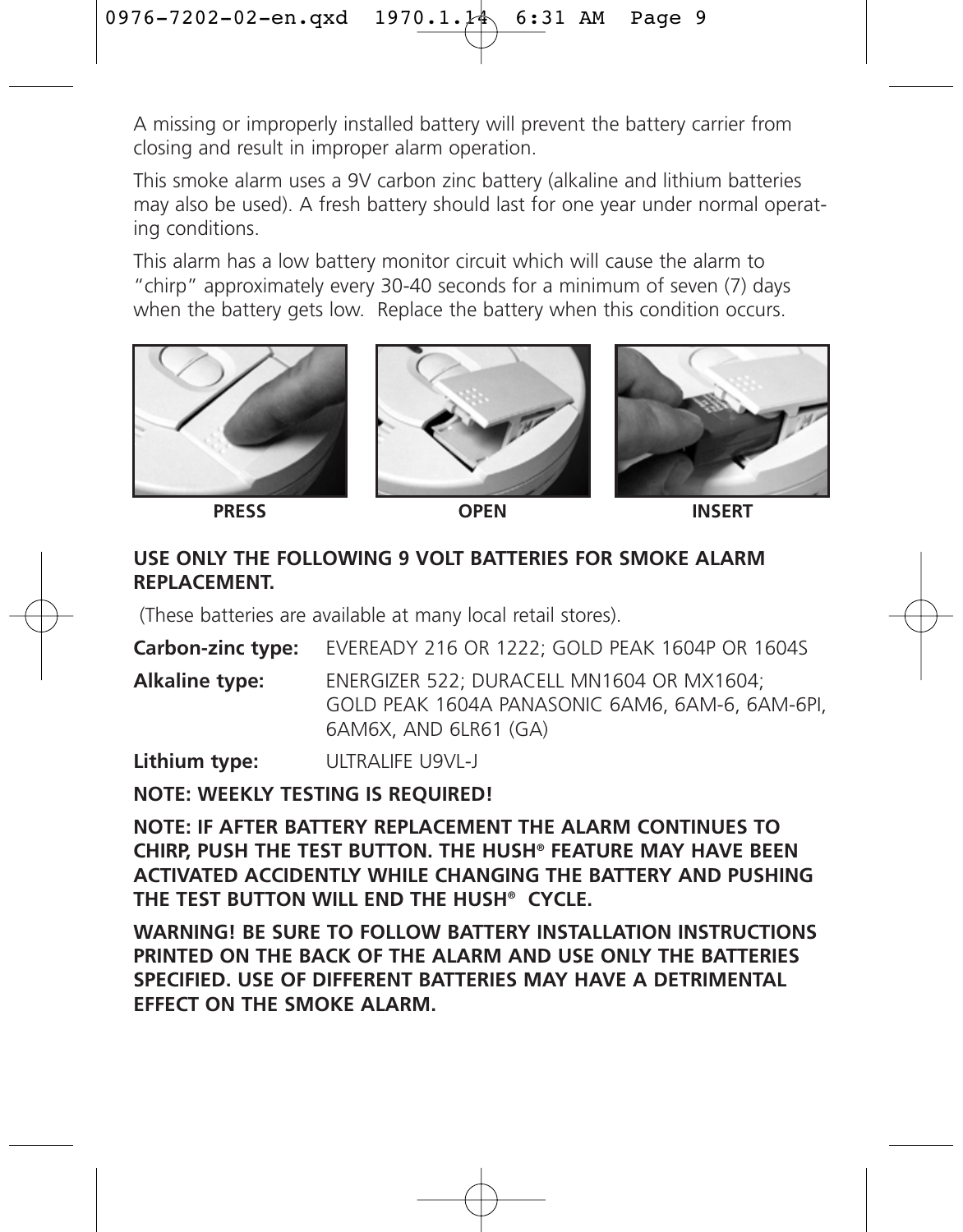A missing or improperly installed battery will prevent the battery carrier from closing and result in improper alarm operation.

This smoke alarm uses a 9V carbon zinc battery (alkaline and lithium batteries may also be used). A fresh battery should last for one year under normal operating conditions.

This alarm has a low battery monitor circuit which will cause the alarm to "chirp" approximately every 30-40 seconds for a minimum of seven (7) days when the battery gets low. Replace the battery when this condition occurs.



**PRESS OPEN INSERT**

### **USE ONLY THE FOLLOWING 9 VOLT BATTERIES FOR SMOKE ALARM REPLACEMENT.**

(These batteries are available at many local retail stores).

**Carbon-zinc type:** EVEREADY 216 OR 1222; GOLD PEAK 1604P OR 1604S **Alkaline type:** ENERGIZER 522; DURACELL MN1604 OR MX1604; GOLD PEAK 1604A PANASONIC 6AM6, 6AM-6, 6AM-6PI, 6AM6X, AND 6LR61 (GA)

**Lithium type:** ULTRALIFE U9VL-J

**NOTE: WEEKLY TESTING IS REQUIRED!**

**NOTE: IF AFTER BATTERY REPLACEMENT THE ALARM CONTINUES TO CHIRP, PUSH THE TEST BUTTON. THE HUSH® FEATURE MAY HAVE BEEN ACTIVATED ACCIDENTLY WHILE CHANGING THE BATTERY AND PUSHING THE TEST BUTTON WILL END THE HUSH® CYCLE.**

**WARNING! BE SURE TO FOLLOW BATTERY INSTALLATION INSTRUCTIONS PRINTED ON THE BACK OF THE ALARM AND USE ONLY THE BATTERIES SPECIFIED. USE OF DIFFERENT BATTERIES MAY HAVE A DETRIMENTAL EFFECT ON THE SMOKE ALARM.**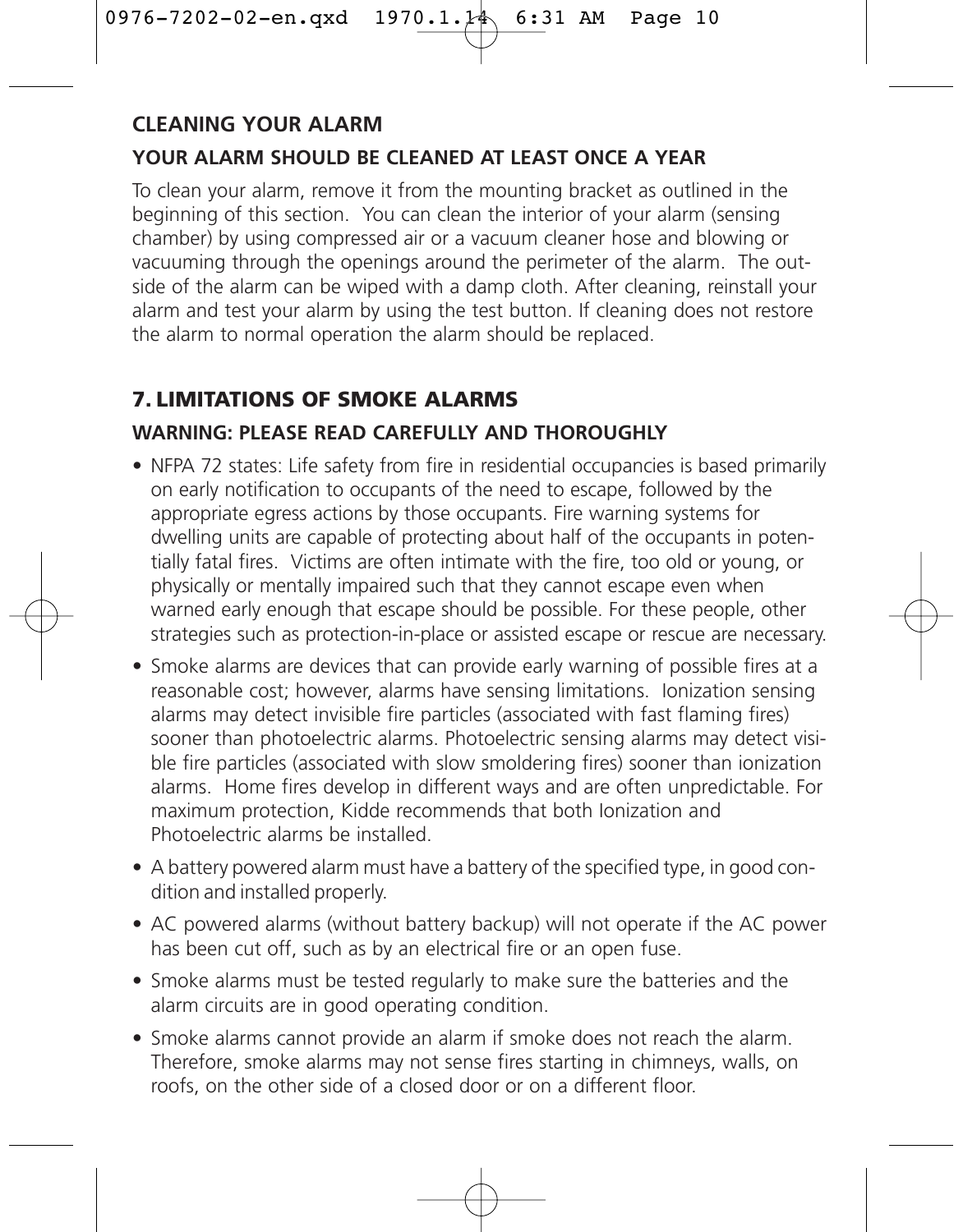### **CLEANING YOUR ALARM**

### **YOUR ALARM SHOULD BE CLEANED AT LEAST ONCE A YEAR**

To clean your alarm, remove it from the mounting bracket as outlined in the beginning of this section. You can clean the interior of your alarm (sensing chamber) by using compressed air or a vacuum cleaner hose and blowing or vacuuming through the openings around the perimeter of the alarm. The outside of the alarm can be wiped with a damp cloth. After cleaning, reinstall your alarm and test your alarm by using the test button. If cleaning does not restore the alarm to normal operation the alarm should be replaced.

### **7. LIMITATIONS OF SMOKE ALARMS**

### **WARNING: PLEASE READ CAREFULLY AND THOROUGHLY**

- NFPA 72 states: Life safety from fire in residential occupancies is based primarily on early notification to occupants of the need to escape, followed by the appropriate egress actions by those occupants. Fire warning systems for dwelling units are capable of protecting about half of the occupants in potentially fatal fires. Victims are often intimate with the fire, too old or young, or physically or mentally impaired such that they cannot escape even when warned early enough that escape should be possible. For these people, other strategies such as protection-in-place or assisted escape or rescue are necessary.
- Smoke alarms are devices that can provide early warning of possible fires at a reasonable cost; however, alarms have sensing limitations. Ionization sensing alarms may detect invisible fire particles (associated with fast flaming fires) sooner than photoelectric alarms. Photoelectric sensing alarms may detect visible fire particles (associated with slow smoldering fires) sooner than ionization alarms. Home fires develop in different ways and are often unpredictable. For maximum protection, Kidde recommends that both Ionization and Photoelectric alarms be installed.
- A battery powered alarm must have a battery of the specified type, in good condition and installed properly.
- AC powered alarms (without battery backup) will not operate if the AC power has been cut off, such as by an electrical fire or an open fuse.
- Smoke alarms must be tested regularly to make sure the batteries and the alarm circuits are in good operating condition.
- Smoke alarms cannot provide an alarm if smoke does not reach the alarm. Therefore, smoke alarms may not sense fires starting in chimneys, walls, on roofs, on the other side of a closed door or on a different floor.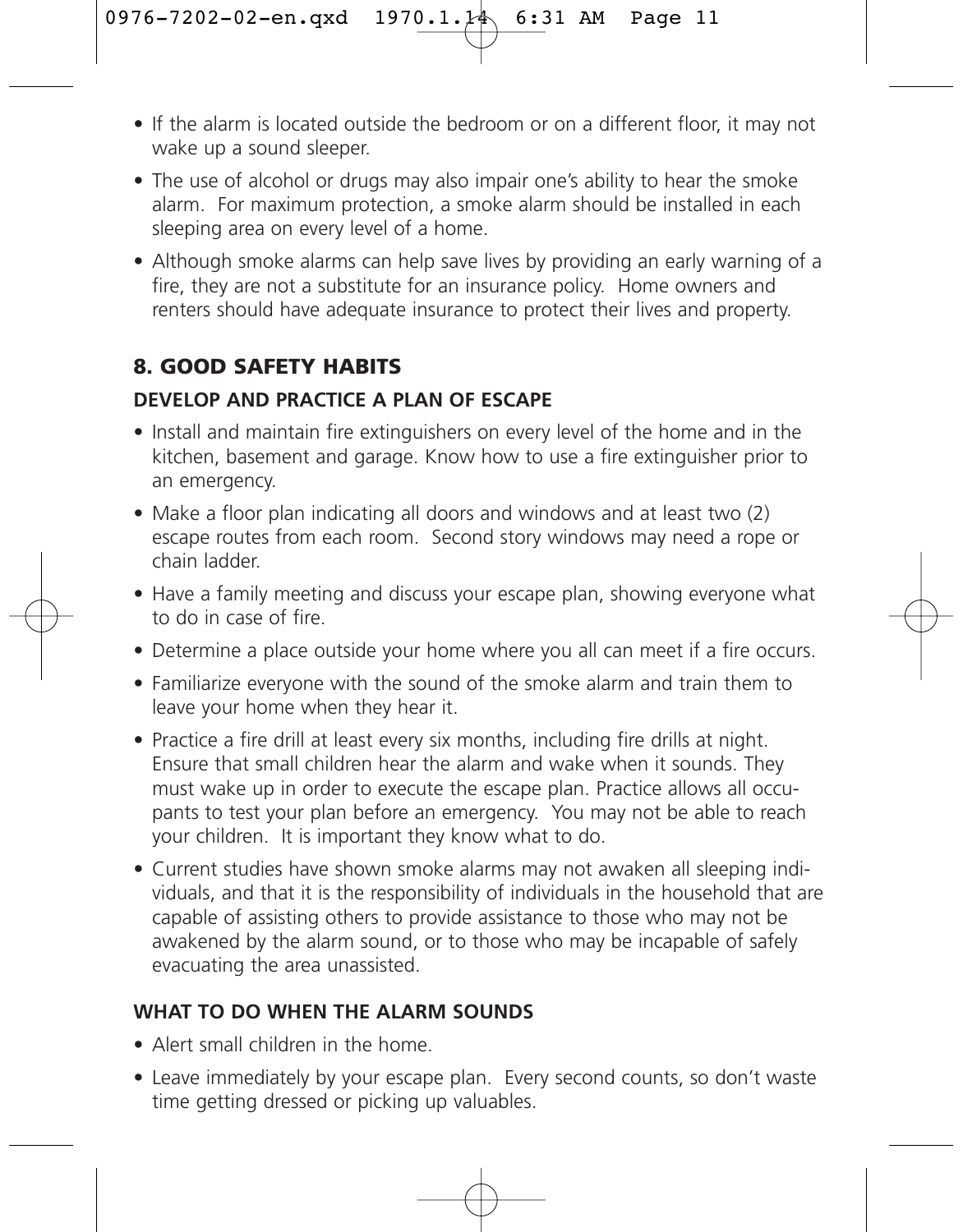- If the alarm is located outside the bedroom or on a different floor, it may not wake up a sound sleeper.
- The use of alcohol or drugs may also impair one's ability to hear the smoke alarm. For maximum protection, a smoke alarm should be installed in each sleeping area on every level of a home.
- Although smoke alarms can help save lives by providing an early warning of a fire, they are not a substitute for an insurance policy. Home owners and renters should have adequate insurance to protect their lives and property.

### **8. GOOD SAFETY HABITS**

### **DEVELOP AND PRACTICE A PLAN OF ESCAPE**

- Install and maintain fire extinguishers on every level of the home and in the kitchen, basement and garage. Know how to use a fire extinguisher prior to an emergency.
- Make a floor plan indicating all doors and windows and at least two (2) escape routes from each room. Second story windows may need a rope or chain ladder.
- Have a family meeting and discuss your escape plan, showing everyone what to do in case of fire.
- Determine a place outside your home where you all can meet if a fire occurs.
- Familiarize everyone with the sound of the smoke alarm and train them to leave your home when they hear it.
- Practice a fire drill at least every six months, including fire drills at night. Ensure that small children hear the alarm and wake when it sounds. They must wake up in order to execute the escape plan. Practice allows all occupants to test your plan before an emergency. You may not be able to reach your children. It is important they know what to do.
- Current studies have shown smoke alarms may not awaken all sleeping individuals, and that it is the responsibility of individuals in the household that are capable of assisting others to provide assistance to those who may not be awakened by the alarm sound, or to those who may be incapable of safely evacuating the area unassisted.

### **WHAT TO DO WHEN THE ALARM SOUNDS**

- Alert small children in the home.
- Leave immediately by your escape plan. Every second counts, so don't waste time getting dressed or picking up valuables.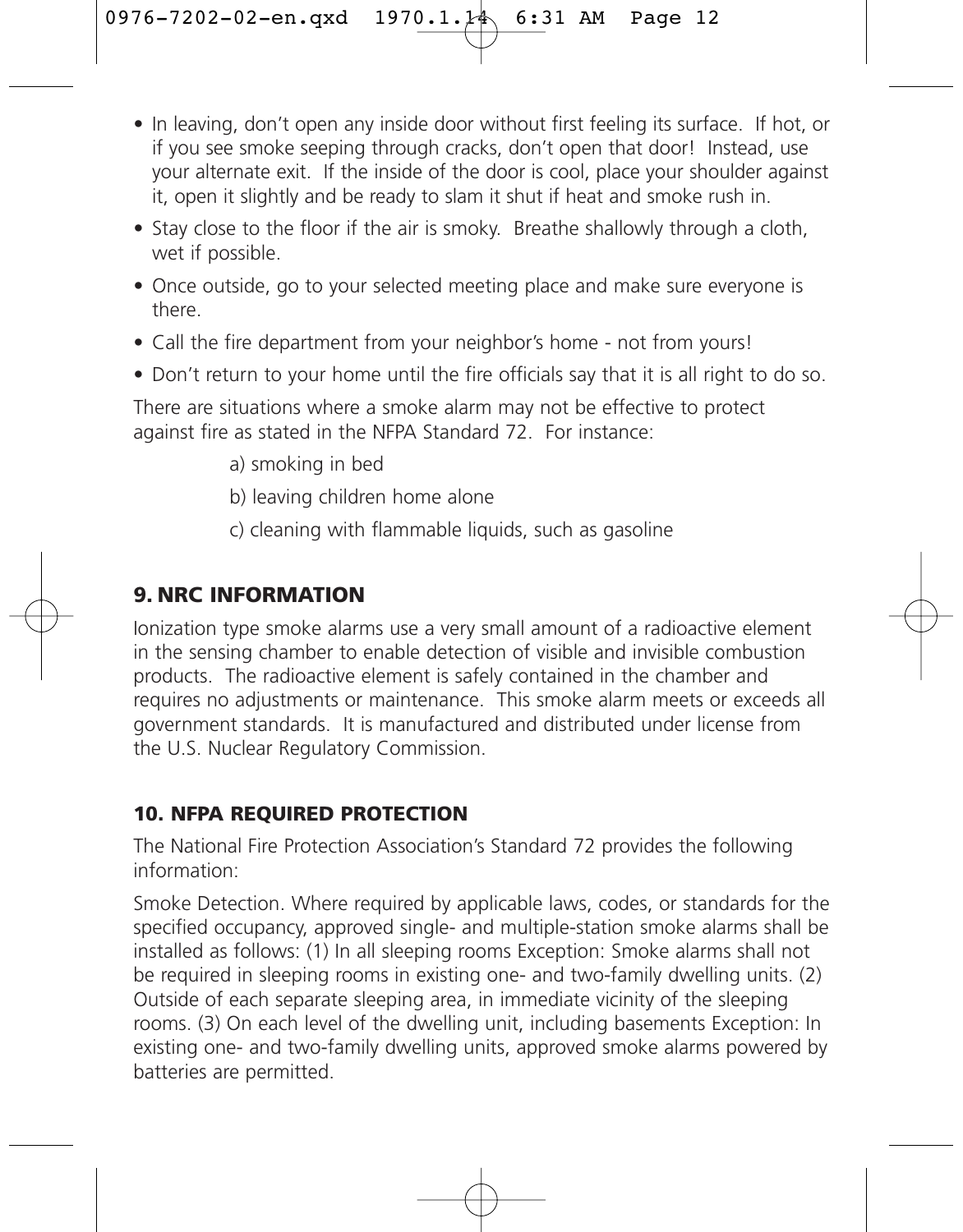- In leaving, don't open any inside door without first feeling its surface. If hot, or if you see smoke seeping through cracks, don't open that door! Instead, use your alternate exit. If the inside of the door is cool, place your shoulder against it, open it slightly and be ready to slam it shut if heat and smoke rush in.
- Stay close to the floor if the air is smoky. Breathe shallowly through a cloth wet if possible.
- Once outside, go to your selected meeting place and make sure everyone is there.
- Call the fire department from your neighbor's home not from yours!
- Don't return to your home until the fire officials say that it is all right to do so.

There are situations where a smoke alarm may not be effective to protect against fire as stated in the NFPA Standard 72. For instance:

- a) smoking in bed
- b) leaving children home alone
- c) cleaning with flammable liquids, such as gasoline

### **9. NRC INFORMATION**

Ionization type smoke alarms use a very small amount of a radioactive element in the sensing chamber to enable detection of visible and invisible combustion products. The radioactive element is safely contained in the chamber and requires no adjustments or maintenance. This smoke alarm meets or exceeds all government standards. It is manufactured and distributed under license from the U.S. Nuclear Regulatory Commission.

### **10. NFPA REQUIRED PROTECTION**

The National Fire Protection Association's Standard 72 provides the following information:

Smoke Detection. Where required by applicable laws, codes, or standards for the specified occupancy, approved single- and multiple-station smoke alarms shall be installed as follows: (1) In all sleeping rooms Exception: Smoke alarms shall not be required in sleeping rooms in existing one- and two-family dwelling units. (2) Outside of each separate sleeping area, in immediate vicinity of the sleeping rooms. (3) On each level of the dwelling unit, including basements Exception: In existing one- and two-family dwelling units, approved smoke alarms powered by batteries are permitted.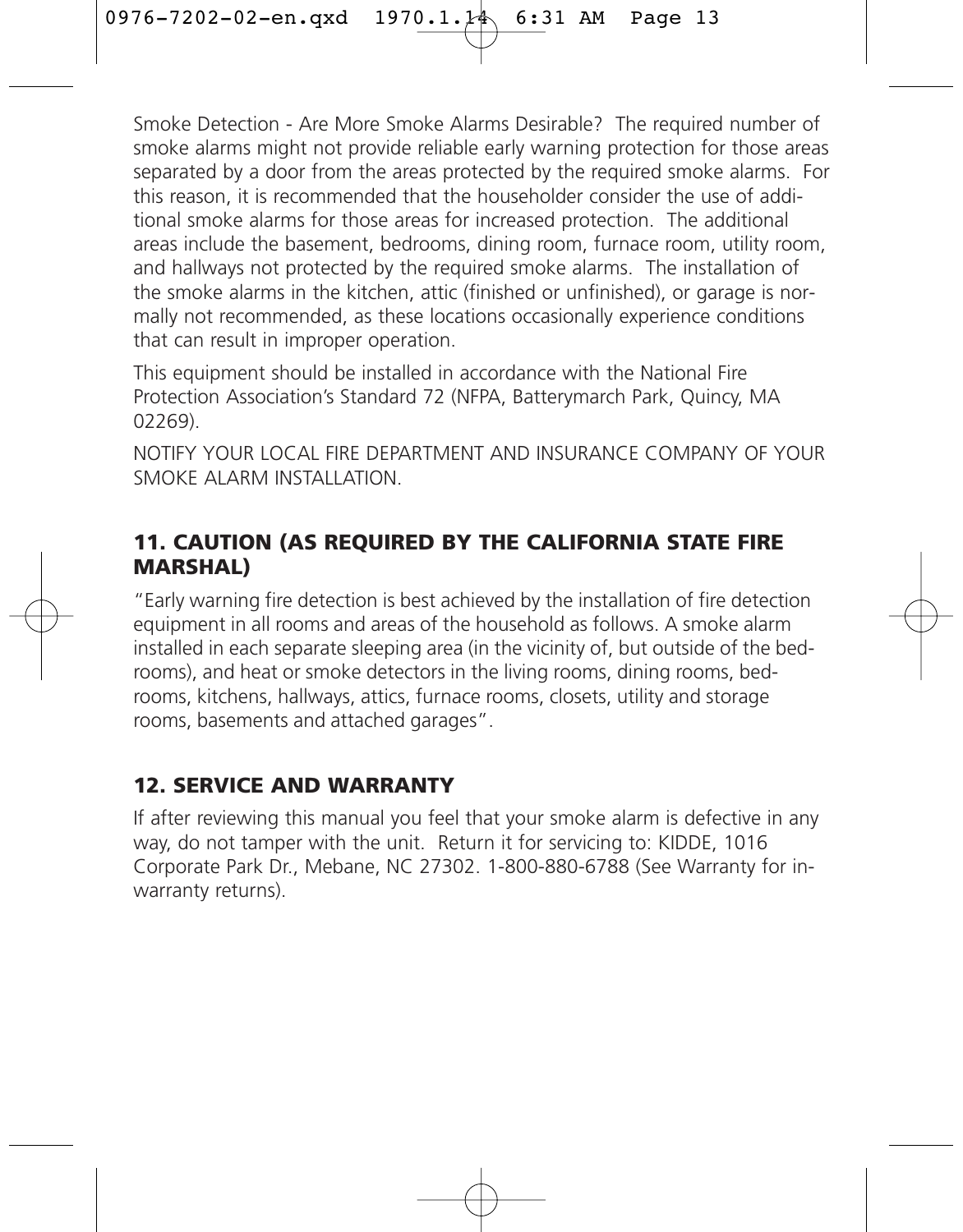Smoke Detection - Are More Smoke Alarms Desirable? The required number of smoke alarms might not provide reliable early warning protection for those areas separated by a door from the areas protected by the required smoke alarms. For this reason, it is recommended that the householder consider the use of additional smoke alarms for those areas for increased protection. The additional areas include the basement, bedrooms, dining room, furnace room, utility room, and hallways not protected by the required smoke alarms. The installation of the smoke alarms in the kitchen, attic (finished or unfinished), or garage is normally not recommended, as these locations occasionally experience conditions that can result in improper operation.

This equipment should be installed in accordance with the National Fire Protection Association's Standard 72 (NFPA, Batterymarch Park, Quincy, MA 02269).

NOTIFY YOUR LOCAL FIRE DEPARTMENT AND INSURANCE COMPANY OF YOUR SMOKE ALARM INSTALLATION.

### **11. CAUTION (AS REQUIRED BY THE CALIFORNIA STATE FIRE MARSHAL)**

"Early warning fire detection is best achieved by the installation of fire detection equipment in all rooms and areas of the household as follows. A smoke alarm installed in each separate sleeping area (in the vicinity of, but outside of the bedrooms), and heat or smoke detectors in the living rooms, dining rooms, bedrooms, kitchens, hallways, attics, furnace rooms, closets, utility and storage rooms, basements and attached garages".

### **12. SERVICE AND WARRANTY**

If after reviewing this manual you feel that your smoke alarm is defective in any way, do not tamper with the unit. Return it for servicing to: KIDDE, 1016 Corporate Park Dr., Mebane, NC 27302. 1-800-880-6788 (See Warranty for inwarranty returns).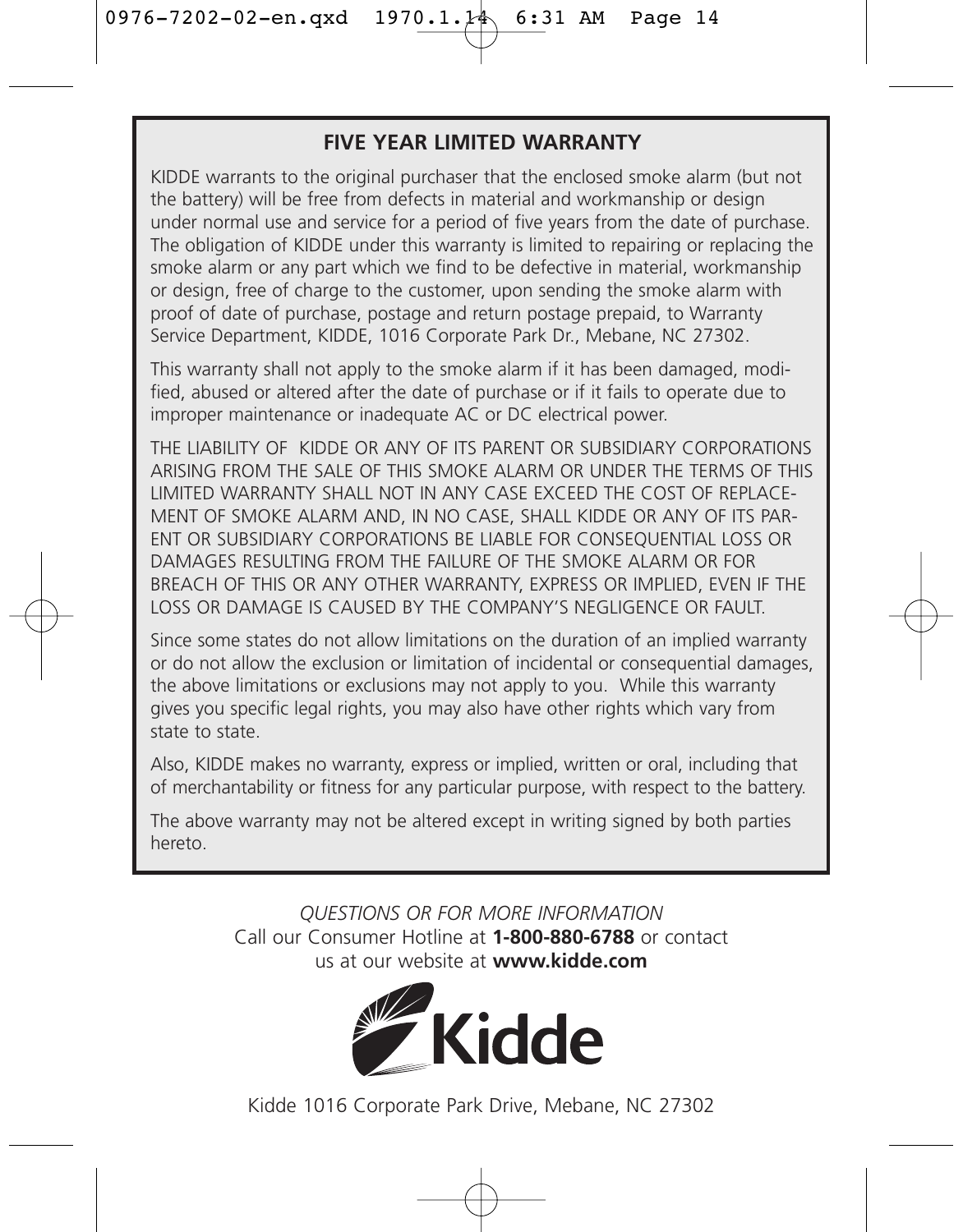### **FIVE YEAR LIMITED WARRANTY**

KIDDE warrants to the original purchaser that the enclosed smoke alarm (but not the battery) will be free from defects in material and workmanship or design under normal use and service for a period of five years from the date of purchase. The obligation of KIDDE under this warranty is limited to repairing or replacing the smoke alarm or any part which we find to be defective in material, workmanship or design, free of charge to the customer, upon sending the smoke alarm with proof of date of purchase, postage and return postage prepaid, to Warranty Service Department, KIDDE, 1016 Corporate Park Dr., Mebane, NC 27302.

This warranty shall not apply to the smoke alarm if it has been damaged, modified, abused or altered after the date of purchase or if it fails to operate due to improper maintenance or inadequate AC or DC electrical power.

THE LIABILITY OF KIDDE OR ANY OF ITS PARENT OR SUBSIDIARY CORPORATIONS ARISING FROM THE SALE OF THIS SMOKE ALARM OR UNDER THE TERMS OF THIS LIMITED WARRANTY SHALL NOT IN ANY CASE EXCEED THE COST OF REPLACE-MENT OF SMOKE ALARM AND, IN NO CASE, SHALL KIDDE OR ANY OF ITS PAR-ENT OR SUBSIDIARY CORPORATIONS BE LIABLE FOR CONSEQUENTIAL LOSS OR DAMAGES RESULTING FROM THE FAILURE OF THE SMOKE ALARM OR FOR BREACH OF THIS OR ANY OTHER WARRANTY, EXPRESS OR IMPLIED, EVEN IF THE LOSS OR DAMAGE IS CAUSED BY THE COMPANY'S NEGLIGENCE OR FAULT.

Since some states do not allow limitations on the duration of an implied warranty or do not allow the exclusion or limitation of incidental or consequential damages, the above limitations or exclusions may not apply to you. While this warranty gives you specific legal rights, you may also have other rights which vary from state to state.

Also, KIDDE makes no warranty, express or implied, written or oral, including that of merchantability or fitness for any particular purpose, with respect to the battery.

The above warranty may not be altered except in writing signed by both parties hereto.

> *QUESTIONS OR FOR MORE INFORMATION* Call our Consumer Hotline at **1-800-880-6788** or contact us at our website at **www.kidde.com**



Kidde 1016 Corporate Park Drive, Mebane, NC 27302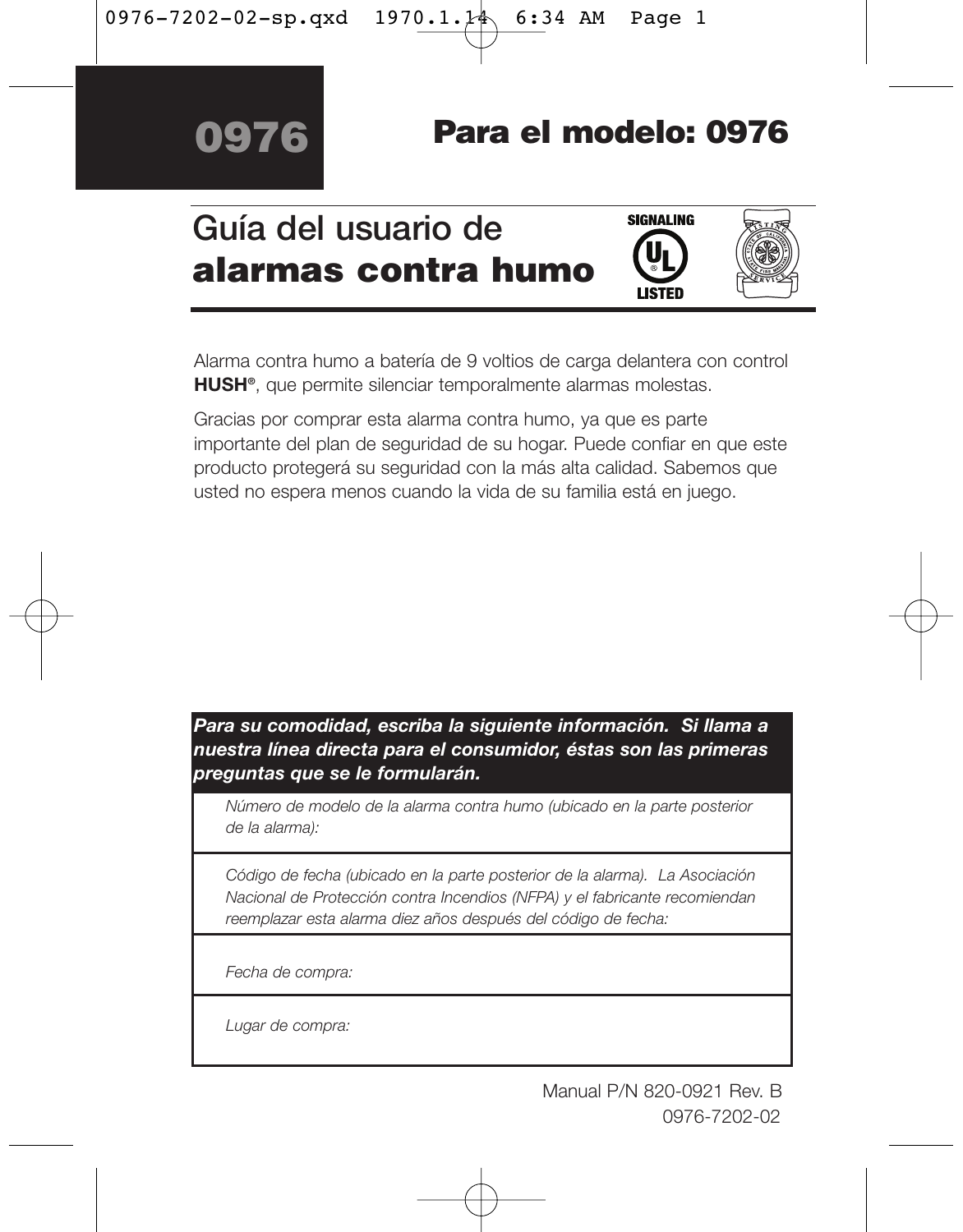# **Para el modelo: 0976**

# **Guía del usuario de alarmas contra humo**





Alarma contra humo a batería de 9 voltios de carga delantera con control **HUSH®**, que permite silenciar temporalmente alarmas molestas.

Gracias por comprar esta alarma contra humo, ya que es parte importante del plan de seguridad de su hogar. Puede confiar en que este producto protegerá su seguridad con la más alta calidad. Sabemos que usted no espera menos cuando la vida de su familia está en juego.

*Para su comodidad, escriba la siguiente información. Si llama a nuestra línea directa para el consumidor, éstas son las primeras preguntas que se le formularán.*

*Número de modelo de la alarma contra humo (ubicado en la parte posterior de la alarma):* 

*Código de fecha (ubicado en la parte posterior de la alarma). La Asociación Nacional de Protección contra Incendios (NFPA) y el fabricante recomiendan reemplazar esta alarma diez años después del código de fecha:* 

*Fecha de compra:* 

*Lugar de compra:*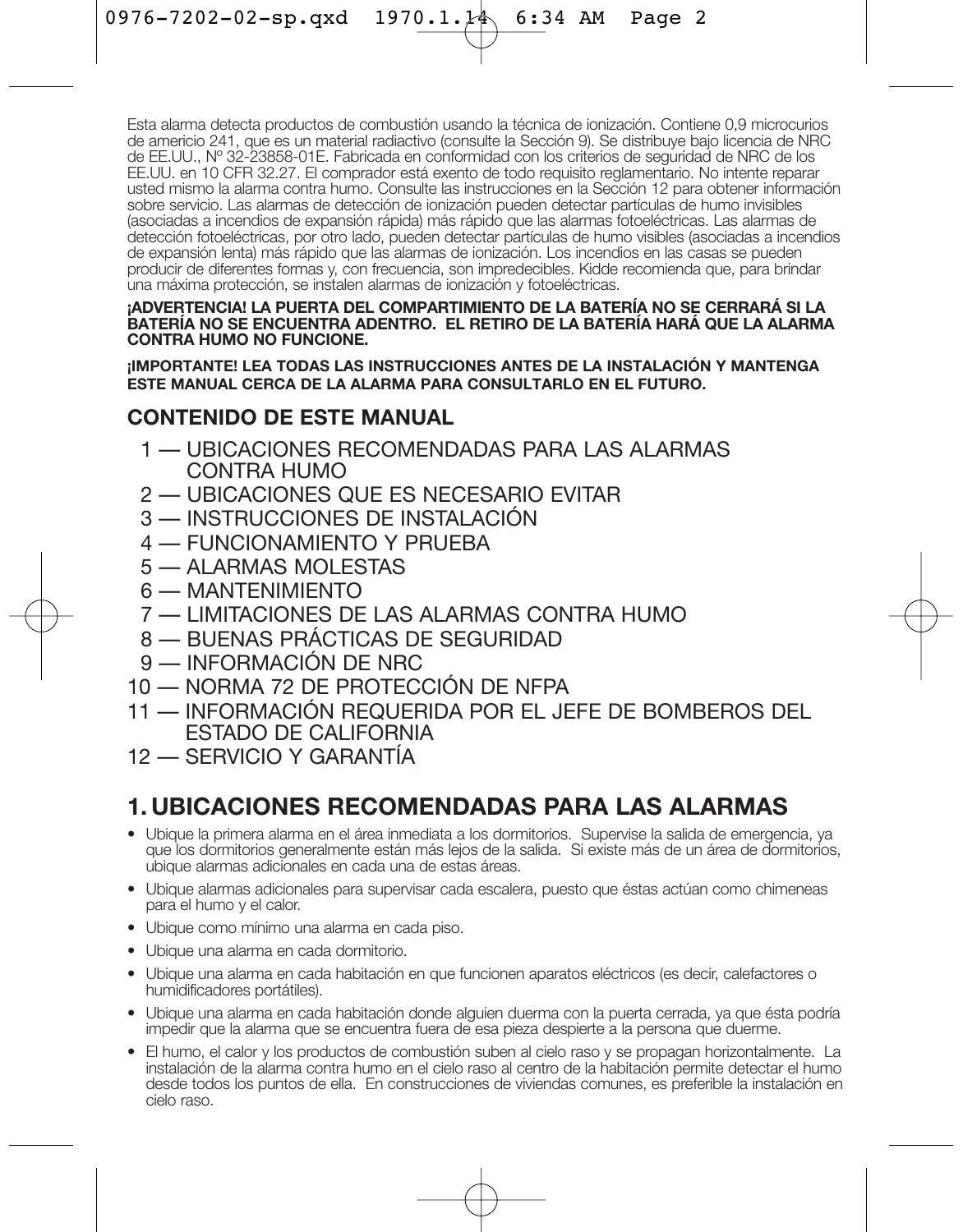Esta alarma detecta productos de combustión usando la técnica de ionización. Contiene 0,9 microcurios de americio 241, que es un material radiactivo (consulte la Sección 9). Se distribuye bajo licencia de NRC de EE.UU., Nº 32-23858-01E. Fabricada en conformidad con los criterios de seguridad de NRC de los EE.UU. en 10 CFR 32.27. El comprador está exento de todo requisito reglamentario. No intente reparar usted mismo la alarma contra humo. Consulte las instrucciones en la Sección 12 para obtener información sobre servicio. Las alarmas de detección de ionización pueden detectar partículas de humo invisibles (asociadas a incendios de expansión rápida) más rápido que las alarmas fotoeléctricas. Las alarmas de detección fotoeléctricas, por otro lado, pueden detectar partículas de humo visibles (asociadas a incendios de expansión lenta) más rápido que las alarmas de ionización. Los incendios en las casas se pueden producir de diferentes formas y, con frecuencia, son impredecibles. Kidde recomienda que, para brindar una máxima protección, se instalen alarmas de ionización y fotoeléctricas.

### **¡ADVERTENCIA! LA PUERTA DEL COMPARTIMIENTO DE LA BATERÍA NO SE CERRARÁ SI LA BATERÍA NO SE ENCUENTRA ADENTRO. EL RETIRO DE LA BATERÍA HARÁ QUE LA ALARMA CONTRA HUMO NO FUNCIONE.**

**¡IMPORTANTE! LEA TODAS LAS INSTRUCCIONES ANTES DE LA INSTALACIÓN Y MANTENGA ESTE MANUAL CERCA DE LA ALARMA PARA CONSULTARLO EN EL FUTURO.**

### **CONTENIDO DE ESTE MANUAL**

- 1 UBICACIONES RECOMENDADAS PARA LAS ALARMAS CONTRA HUMO
- 2 UBICACIONES QUE ES NECESARIO EVITAR
- 3 INSTRUCCIONES DE INSTALACIÓN
- 4 FUNCIONAMIENTO Y PRUEBA
- 5 ALARMAS MOLESTAS
- 6 MANTENIMIENTO
- 7 LIMITACIONES DE LAS ALARMAS CONTRA HUMO
- 8 BUENAS PRÁCTICAS DE SEGURIDAD
- 9 INFORMACIÓN DE NRC
- 10 NORMA 72 DE PROTECCIÓN DE NFPA
- 11 INFORMACIÓN REQUERIDA POR EL JEFE DE BOMBEROS DEL ESTADO DE CALIFORNIA
- 12 SERVICIO Y GARANTÍA

## **1. UBICACIONES RECOMENDADAS PARA LAS ALARMAS**

- Ubique la primera alarma en el área inmediata a los dormitorios. Supervise la salida de emergencia, ya que los dormitorios generalmente están más lejos de la salida. Si existe más de un área de dormitorios, ubique alarmas adicionales en cada una de estas áreas.
- Ubique alarmas adicionales para supervisar cada escalera, puesto que éstas actúan como chimeneas para el humo y el calor.
- Ubique como mínimo una alarma en cada piso.
- Ubique una alarma en cada dormitorio.
- Ubique una alarma en cada habitación en que funcionen aparatos eléctricos (es decir, calefactores o humidificadores portátiles).
- Ubique una alarma en cada habitación donde alguien duerma con la puerta cerrada, ya que ésta podría impedir que la alarma que se encuentra fuera de esa pieza despierte a la persona que duerme.
- El humo, el calor y los productos de combustión suben al cielo raso y se propagan horizontalmente. La instalación de la alarma contra humo en el cielo raso al centro de la habitación permite detectar el humo desde todos los puntos de ella. En construcciones de viviendas comunes, es preferible la instalación en cielo raso.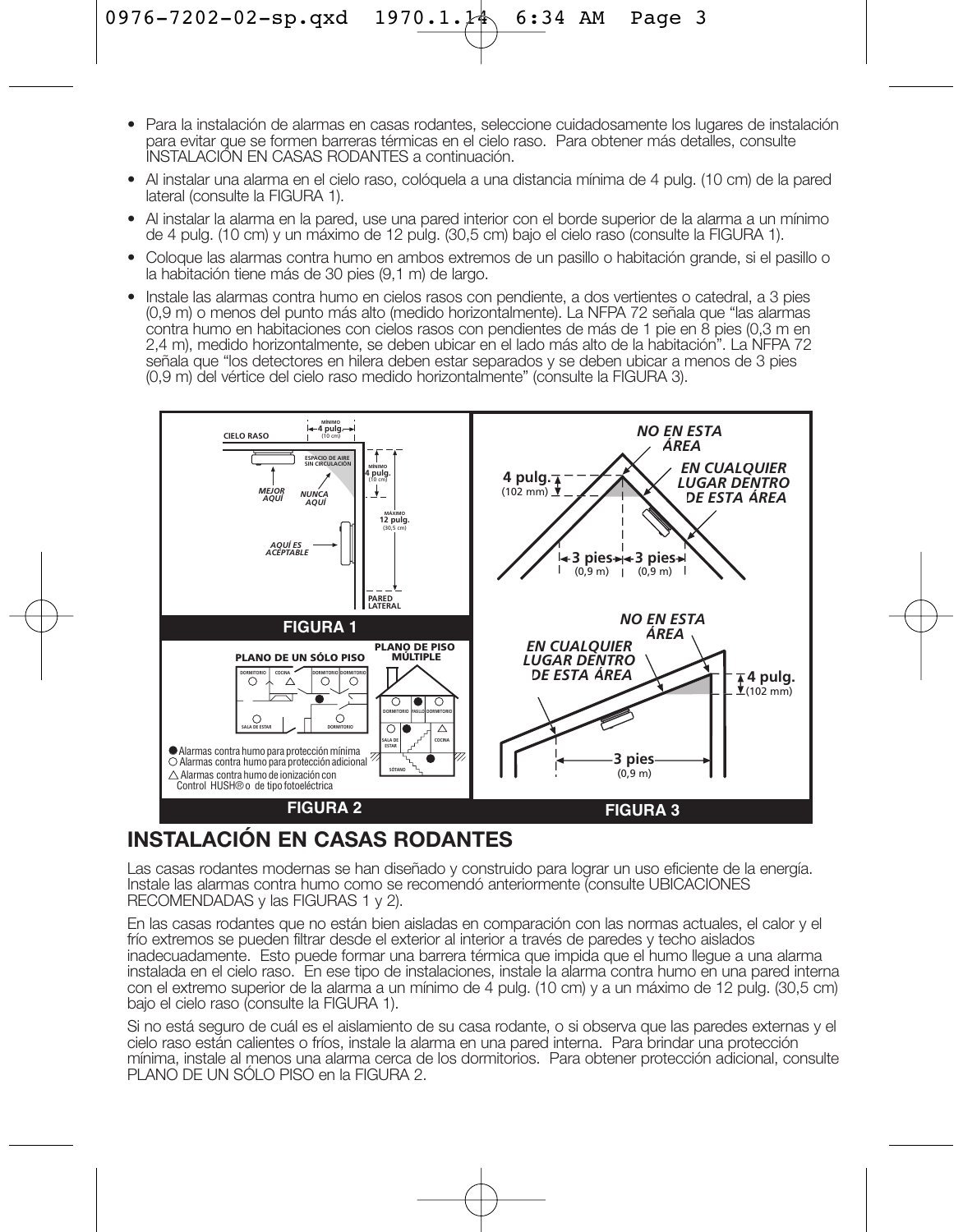- Para la instalación de alarmas en casas rodantes, seleccione cuidadosamente los lugares de instalación para evitar que se formen barreras térmicas en el cielo raso. Para obtener más detalles, consulte INSTALACIÓN EN CASAS RODANTES a continuación.
- Al instalar una alarma en el cielo raso, colóquela a una distancia mínima de 4 pulg. (10 cm) de la pared lateral (consulte la FIGURA 1).
- Al instalar la alarma en la pared, use una pared interior con el borde superior de la alarma a un mínimo de 4 pulg. (10 cm) y un máximo de 12 pulg. (30,5 cm) bajo el cielo raso (consulte la FIGURA 1).
- Coloque las alarmas contra humo en ambos extremos de un pasillo o habitación grande, si el pasillo o la habitación tiene más de 30 pies (9,1 m) de largo.
- Instale las alarmas contra humo en cielos rasos con pendiente, a dos vertientes o catedral, a 3 pies (0,9 m) o menos del punto más alto (medido horizontalmente). La NFPA 72 señala que "las alarmas contra humo en habitaciones con cielos rasos con pendientes de más de 1 pie en 8 pies (0,3 m en 2,4 m), medido horizontalmente, se deben ubicar en el lado más alto de la habitación". La NFPA 72 señala que "los detectores en hilera deben estar separados y se deben ubicar a menos de 3 pies (0,9 m) del vértice del cielo raso medido horizontalmente" (consulte la FIGURA 3).



### **INSTALACIÓN EN CASAS RODANTES**

Las casas rodantes modernas se han diseñado y construido para lograr un uso eficiente de la energía. Instale las alarmas contra humo como se recomendó anteriormente (consulte UBICACIONES RECOMENDADAS y las FIGURAS 1 y 2).

En las casas rodantes que no están bien aisladas en comparación con las normas actuales, el calor y el frío extremos se pueden filtrar desde el exterior al interior a través de paredes y techo aislados inadecuadamente. Esto puede formar una barrera térmica que impida que el humo llegue a una alarma instalada en el cielo raso. En ese tipo de instalaciones, instale la alarma contra humo en una pared interna con el extremo superior de la alarma a un mínimo de 4 pulg. (10 cm) y a un máximo de 12 pulg. (30,5 cm) bajo el cielo raso (consulte la FIGURA 1).

Si no está seguro de cuál es el aislamiento de su casa rodante, o si observa que las paredes externas y el cielo raso están calientes o fríos, instale la alarma en una pared interna. Para brindar una protección mínima, instale al menos una alarma cerca de los dormitorios. Para obtener protección adicional, consulte PLANO DE UN SÓLO PISO en la FIGURA 2.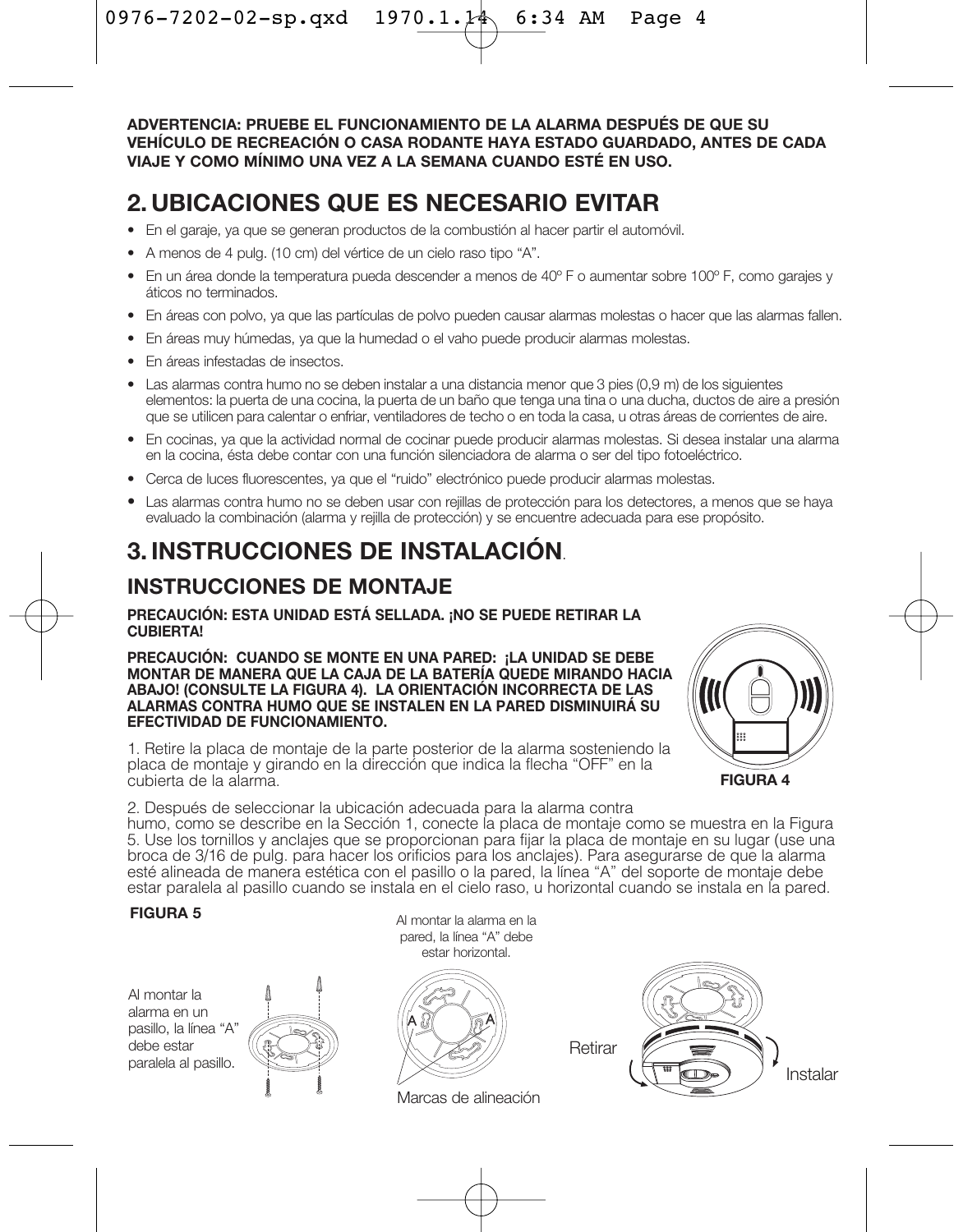**ADVERTENCIA: PRUEBE EL FUNCIONAMIENTO DE LA ALARMA DESPUÉS DE QUE SU VEHÍCULO DE RECREACIÓN O CASA RODANTE HAYA ESTADO GUARDADO, ANTES DE CADA VIAJE Y COMO MÍNIMO UNA VEZ A LA SEMANA CUANDO ESTÉ EN USO.**

## **2. UBICACIONES QUE ES NECESARIO EVITAR**

- En el garaje, ya que se generan productos de la combustión al hacer partir el automóvil.
- A menos de 4 pulg. (10 cm) del vértice de un cielo raso tipo "A".
- En un área donde la temperatura pueda descender a menos de 40º F o aumentar sobre 100º F, como garajes y áticos no terminados.
- En áreas con polvo, ya que las partículas de polvo pueden causar alarmas molestas o hacer que las alarmas fallen.
- En áreas muy húmedas, ya que la humedad o el vaho puede producir alarmas molestas.
- En áreas infestadas de insectos.
- Las alarmas contra humo no se deben instalar a una distancia menor que 3 pies (0,9 m) de los siguientes elementos: la puerta de una cocina, la puerta de un baño que tenga una tina o una ducha, ductos de aire a presión que se utilicen para calentar o enfriar, ventiladores de techo o en toda la casa, u otras áreas de corrientes de aire.
- En cocinas, ya que la actividad normal de cocinar puede producir alarmas molestas. Si desea instalar una alarma en la cocina, ésta debe contar con una función silenciadora de alarma o ser del tipo fotoeléctrico.
- Cerca de luces fluorescentes, ya que el "ruido" electrónico puede producir alarmas molestas.
- Las alarmas contra humo no se deben usar con rejillas de protección para los detectores, a menos que se haya evaluado la combinación (alarma y rejilla de protección) y se encuentre adecuada para ese propósito.

## **3. INSTRUCCIONES DE INSTALACIÓN**.

### **INSTRUCCIONES DE MONTAJE**

### **PRECAUCIÓN: ESTA UNIDAD ESTÁ SELLADA. ¡NO SE PUEDE RETIRAR LA CUBIERTA!**

**PRECAUCIÓN: CUANDO SE MONTE EN UNA PARED: ¡LA UNIDAD SE DEBE MONTAR DE MANERA QUE LA CAJA DE LA BATERÍA QUEDE MIRANDO HACIA ABAJO! (CONSULTE LA FIGURA 4). LA ORIENTACIÓN INCORRECTA DE LAS ALARMAS CONTRA HUMO QUE SE INSTALEN EN LA PARED DISMINUIRÁ SU EFECTIVIDAD DE FUNCIONAMIENTO.**

1. Retire la placa de montaje de la parte posterior de la alarma sosteniendo la placa de montaje y girando en la dirección que indica la flecha "OFF" en la cubierta de la alarma.



2. Después de seleccionar la ubicación adecuada para la alarma contra

humo, como se describe en la Sección 1, conecte la placa de montaje como se muestra en la Figura 5. Use los tornillos y anclajes que se proporcionan para fijar la placa de montaje en su lugar (use una broca de 3/16 de pulg. para hacer los orificios para los anclajes). Para asegurarse de que la alarma esté alineada de manera estética con el pasillo o la pared, la línea "A" del soporte de montaje debe estar paralela al pasillo cuando se instala en el cielo raso, u horizontal cuando se instala en la pared.

Al montar la alarma en un pasillo, la línea "A" debe estar paralela al pasillo.



**FIGURA 5** Al montar la alarma en la pared, la línea "A" debe estar horizontal.



Marcas de alineación

**Retirar** 

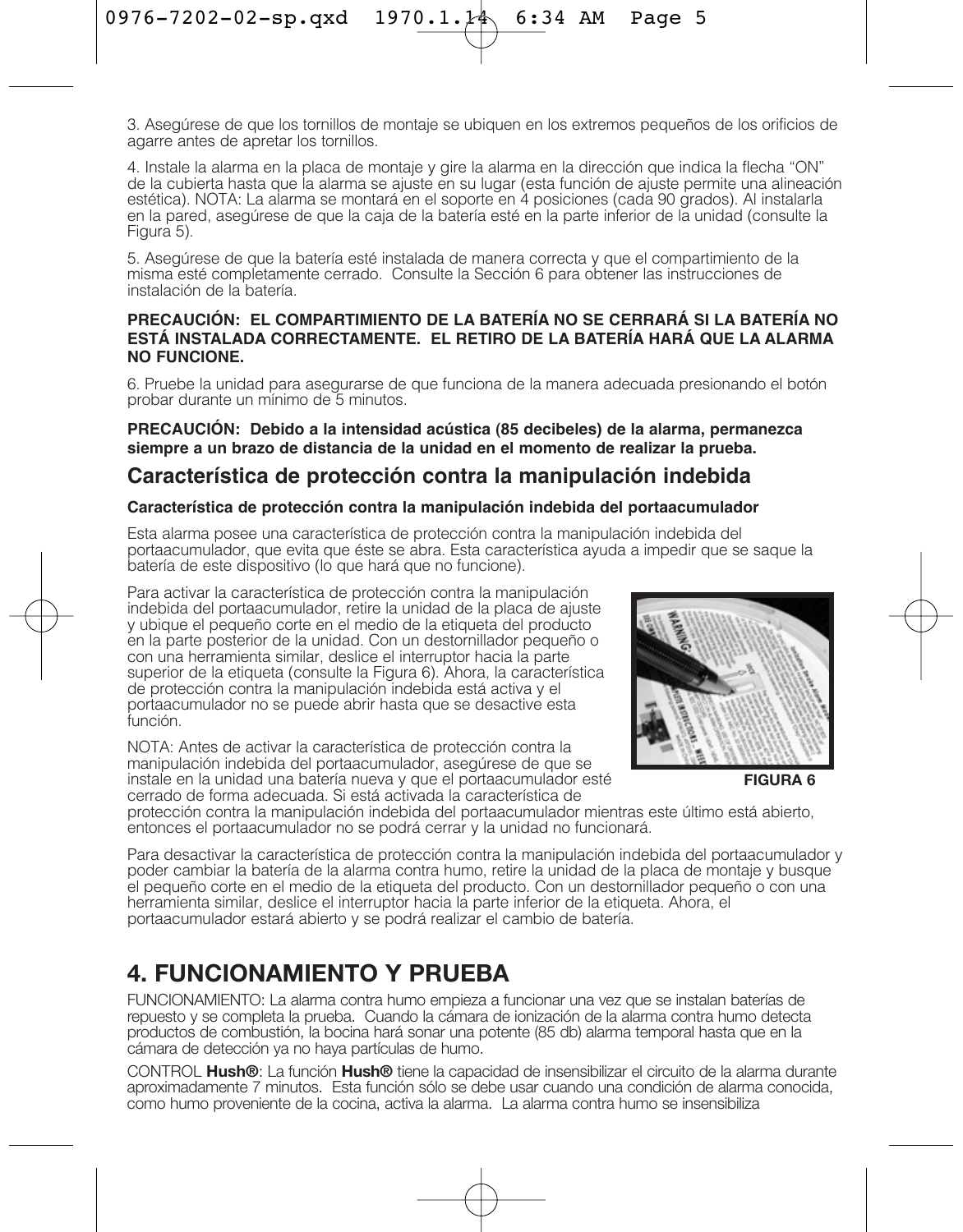3. Asegúrese de que los tornillos de montaje se ubiquen en los extremos pequeños de los orificios de agarre antes de apretar los tornillos.

4. Instale la alarma en la placa de montaje y gire la alarma en la dirección que indica la flecha "ON" de la cubierta hasta que la alarma se ajuste en su lugar (esta función de ajuste permite una alineación estética). NOTA: La alarma se montará en el soporte en 4 posiciones (cada 90 grados). Al instalarla en la pared, asegúrese de que la caja de la batería esté en la parte inferior de la unidad (consulte la Figura 5).

5. Asegúrese de que la batería esté instalada de manera correcta y que el compartimiento de la misma esté completamente cerrado. Consulte la Sección 6 para obtener las instrucciones de instalación de la batería.

### **PRECAUCIÓN: EL COMPARTIMIENTO DE LA BATERÍA NO SE CERRARÁ SI LA BATERÍA NO ESTÁ INSTALADA CORRECTAMENTE. EL RETIRO DE LA BATERÍA HARÁ QUE LA ALARMA NO FUNCIONE.**

6. Pruebe la unidad para asegurarse de que funciona de la manera adecuada presionando el botón probar durante un mínimo de 5 minutos.

### **PRECAUCIÓN: Debido a la intensidad acústica (85 decibeles) de la alarma, permanezca siempre a un brazo de distancia de la unidad en el momento de realizar la prueba.**

### **Característica de protección contra la manipulación indebida**

### **Característica de protección contra la manipulación indebida del portaacumulador**

Esta alarma posee una característica de protección contra la manipulación indebida del portaacumulador, que evita que éste se abra. Esta característica ayuda a impedir que se saque la batería de este dispositivo (lo que hará que no funcione).

Para activar la característica de protección contra la manipulación indebida del portaacumulador, retire la unidad de la placa de ajuste y ubique el pequeño corte en el medio de la etiqueta del producto en la parte posterior de la unidad. Con un destornillador pequeño o con una herramienta similar, deslice el interruptor hacia la parte superior de la etiqueta (consulte la Figura 6). Ahora, la característica de protección contra la manipulación indebida está activa y el portaacumulador no se puede abrir hasta que se desactive esta función.

NOTA: Antes de activar la característica de protección contra la manipulación indebida del portaacumulador, asegúrese de que se instale en la unidad una batería nueva y que el portaacumulador esté cerrado de forma adecuada. Si está activada la característica de



**FIGURA 6**

protección contra la manipulación indebida del portaacumulador mientras este último está abierto, entonces el portaacumulador no se podrá cerrar y la unidad no funcionará.

Para desactivar la característica de protección contra la manipulación indebida del portaacumulador y poder cambiar la batería de la alarma contra humo, retire la unidad de la placa de montaje y busque el pequeño corte en el medio de la etiqueta del producto. Con un destornillador pequeño o con una herramienta similar, deslice el interruptor hacia la parte inferior de la etiqueta. Ahora, el portaacumulador estará abierto y se podrá realizar el cambio de batería.

## **4. FUNCIONAMIENTO Y PRUEBA**

FUNCIONAMIENTO: La alarma contra humo empieza a funcionar una vez que se instalan baterías de repuesto y se completa la prueba. Cuando la cámara de ionización de la alarma contra humo detecta productos de combustión, la bocina hará sonar una potente (85 db) alarma temporal hasta que en la cámara de detección ya no haya partículas de humo.

CONTROL **Hush®**: La función **Hush®** tiene la capacidad de insensibilizar el circuito de la alarma durante aproximadamente 7 minutos. Esta función sólo se debe usar cuando una condición de alarma conocida, como humo proveniente de la cocina, activa la alarma. La alarma contra humo se insensibiliza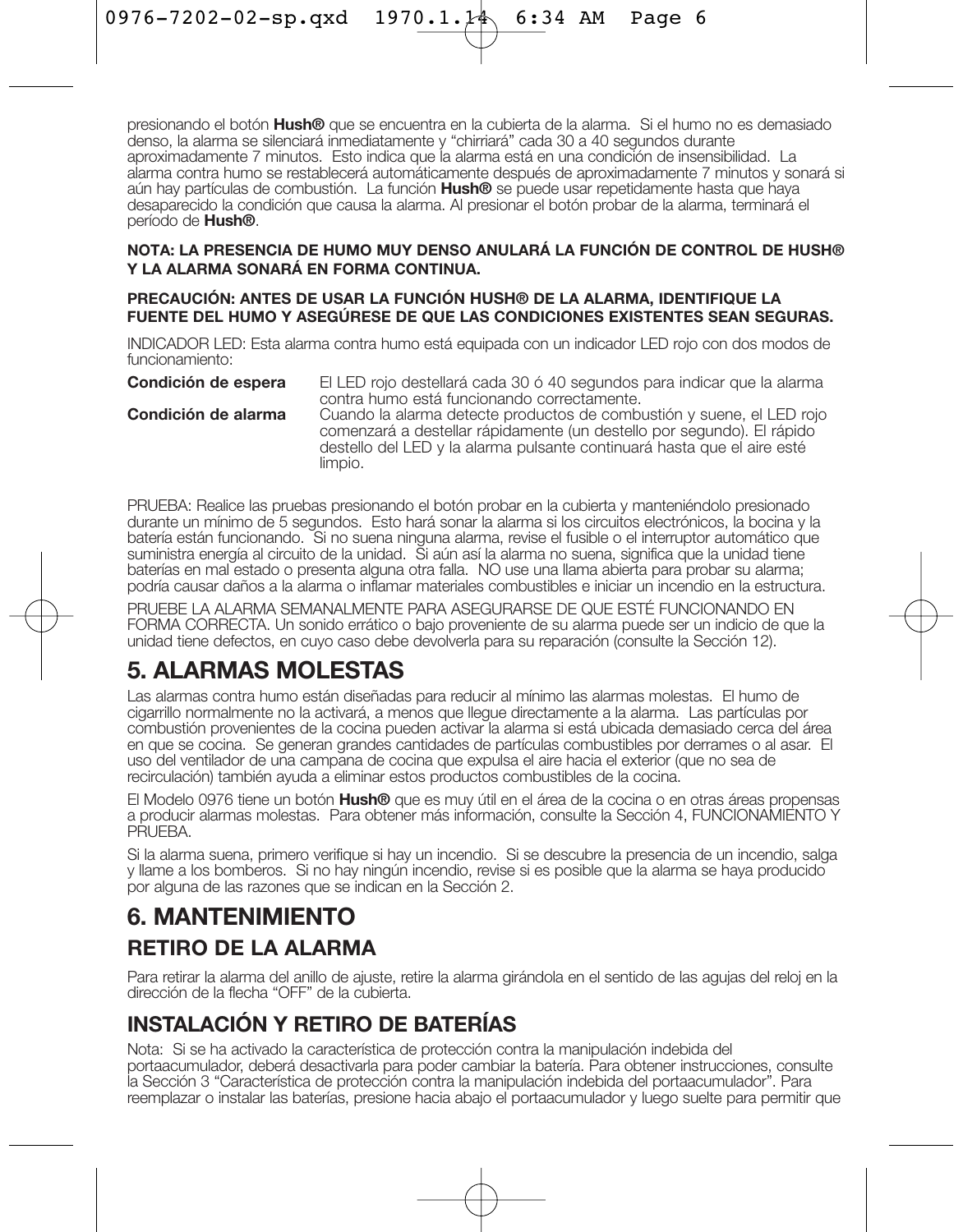presionando el botón **Hush®** que se encuentra en la cubierta de la alarma. Si el humo no es demasiado denso, la alarma se silenciará inmediatamente y "chirriará" cada 30 a 40 segundos durante aproximadamente 7 minutos. Esto indica que la alarma está en una condición de insensibilidad. La alarma contra humo se restablecerá automáticamente después de aproximadamente 7 minutos y sonará si aún hay partículas de combustión. La función **Hush®** se puede usar repetidamente hasta que haya desaparecido la condición que causa la alarma. Al presionar el botón probar de la alarma, terminará el período de **Hush®**.

### **NOTA: LA PRESENCIA DE HUMO MUY DENSO ANULARÁ LA FUNCIÓN DE CONTROL DE HUSH® Y LA ALARMA SONARÁ EN FORMA CONTINUA.**

### **PRECAUCIÓN: ANTES DE USAR LA FUNCIÓN HUSH® DE LA ALARMA, IDENTIFIQUE LA FUENTE DEL HUMO Y ASEGÚRESE DE QUE LAS CONDICIONES EXISTENTES SEAN SEGURAS.**

INDICADOR LED: Esta alarma contra humo está equipada con un indicador LED rojo con dos modos de funcionamiento:

**Condición de espera** El LED rojo destellará cada 30 ó 40 segundos para indicar que la alarma contra humo está funcionando correctamente. **Condición de alarma** Cuando la alarma detecte productos de combustión y suene, el LED rojo comenzará a destellar rápidamente (un destello por segundo). El rápido destello del LED y la alarma pulsante continuará hasta que el aire esté limpio.

PRUEBA: Realice las pruebas presionando el botón probar en la cubierta y manteniéndolo presionado durante un mínimo de 5 segundos. Esto hará sonar la alarma si los circuitos electrónicos, la bocina y la batería están funcionando. Si no suena ninguna alarma, revise el fusible o el interruptor automático que suministra energía al circuito de la unidad. Si aún así la alarma no suena, significa que la unidad tiene baterías en mal estado o presenta alguna otra falla. NO use una llama abierta para probar su alarma; podría causar daños a la alarma o inflamar materiales combustibles e iniciar un incendio en la estructura.

PRUEBE LA ALARMA SEMANALMENTE PARA ASEGURARSE DE QUE ESTÉ FUNCIONANDO EN FORMA CORRECTA. Un sonido errático o bajo proveniente de su alarma puede ser un indicio de que la unidad tiene defectos, en cuyo caso debe devolverla para su reparación (consulte la Sección 12).

## **5. ALARMAS MOLESTAS**

Las alarmas contra humo están diseñadas para reducir al mínimo las alarmas molestas. El humo de cigarrillo normalmente no la activará, a menos que llegue directamente a la alarma. Las partículas por combustión provenientes de la cocina pueden activar la alarma si está ubicada demasiado cerca del área en que se cocina. Se generan grandes cantidades de partículas combustibles por derrames o al asar. El uso del ventilador de una campana de cocina que expulsa el aire hacia el exterior (que no sea de recirculación) también ayuda a eliminar estos productos combustibles de la cocina.

El Modelo 0976 tiene un botón **Hush®** que es muy útil en el área de la cocina o en otras áreas propensas a producir alarmas molestas. Para obtener más información, consulte la Sección 4, FUNCIONAMIENTO Y PRI **IFRA** 

Si la alarma suena, primero verifique si hay un incendio. Si se descubre la presencia de un incendio, salga y llame a los bomberos. Si no hay ningún incendio, revise si es posible que la alarma se haya producido por alguna de las razones que se indican en la Sección 2.

## **6. MANTENIMIENTO**

### **RETIRO DE LA ALARMA**

Para retirar la alarma del anillo de ajuste, retire la alarma girándola en el sentido de las agujas del reloj en la dirección de la flecha "OFF" de la cubierta.

### **INSTALACIÓN Y RETIRO DE BATERÍAS**

Nota: Si se ha activado la característica de protección contra la manipulación indebida del portaacumulador, deberá desactivarla para poder cambiar la batería. Para obtener instrucciones, consulte la Sección 3 "Característica de protección contra la manipulación indebida del portaacumulador". Para reemplazar o instalar las baterías, presione hacia abajo el portaacumulador y luego suelte para permitir que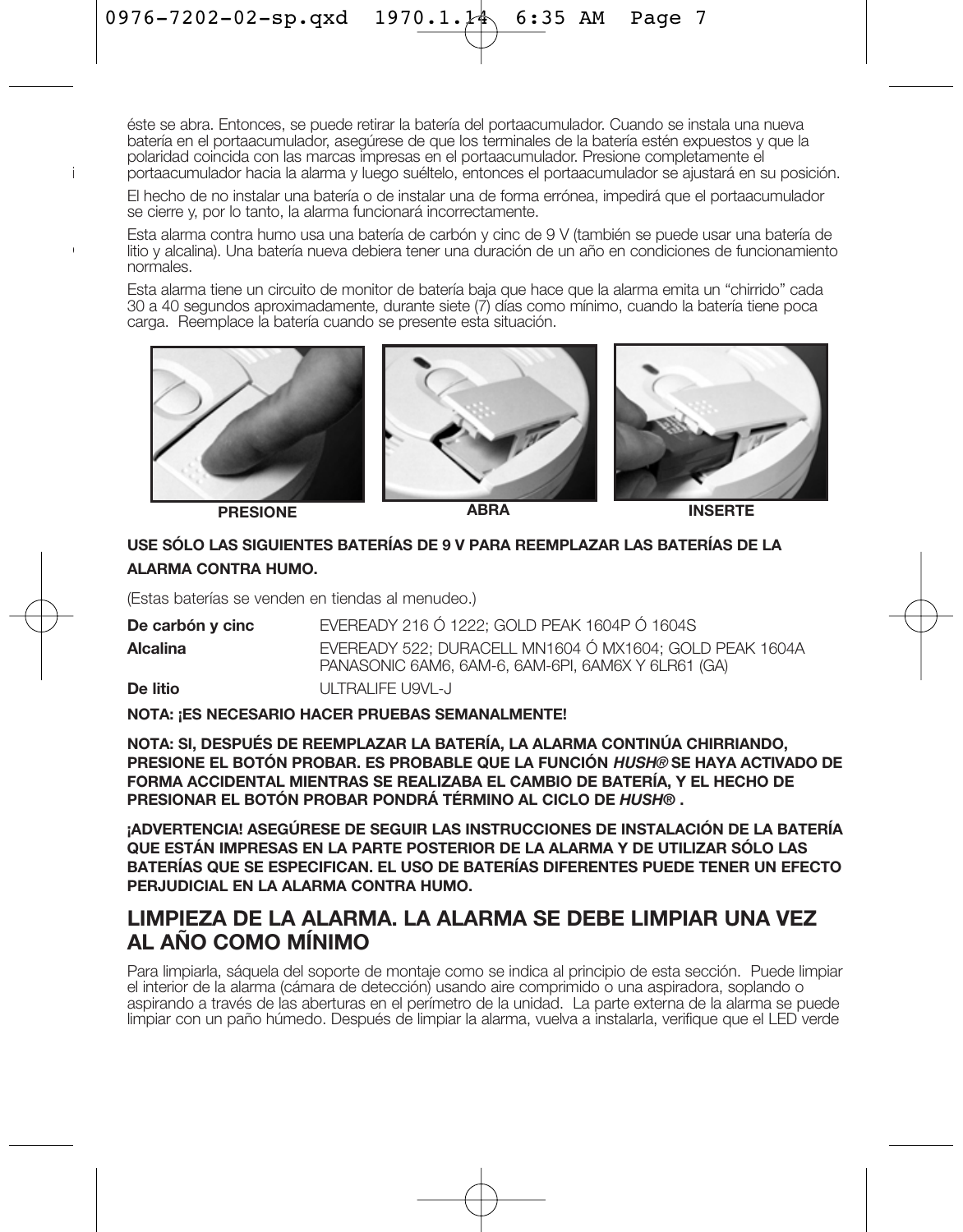éste se abra. Entonces, se puede retirar la batería del portaacumulador. Cuando se instala una nueva batería en el portaacumulador, asegúrese de que los terminales de la batería estén expuestos y que la polaridad coincida con las marcas impresas en el portaacumulador. Presione completamente el portaacumulador hacia la alarma y luego suéltelo, entonces el portaacumulador se ajustará en su posición.

El hecho de no instalar una batería o de instalar una de forma errónea, impedirá que el portaacumulador se cierre y, por lo tanto, la alarma funcionará incorrectamente.

Esta alarma contra humo usa una batería de carbón y cinc de 9 V (también se puede usar una batería de litio y alcalina). Una batería nueva debiera tener una duración de un año en condiciones de funcionamiento normales.

Esta alarma tiene un circuito de monitor de batería baja que hace que la alarma emita un "chirrido" cada 30 a 40 segundos aproximadamente, durante siete (7) días como mínimo, cuando la batería tiene poca carga. Reemplace la batería cuando se presente esta situación.



**PRESIONE ABRA INSERTE**

### **USE SÓLO LAS SIGUIENTES BATERÍAS DE 9 V PARA REEMPLAZAR LAS BATERÍAS DE LA ALARMA CONTRA HUMO.**

(Estas baterías se venden en tiendas al menudeo.)

| De carbón y cinc | EVEREADY 216 Ó 1222: GOLD PEAK 1604P Ó 1604S                                                                  |
|------------------|---------------------------------------------------------------------------------------------------------------|
| Alcalina         | EVEREADY 522: DURACELL MN1604 Ó MX1604: GOLD PEAK 1604A<br>PANASONIC 6AM6, 6AM-6, 6AM-6PI, 6AM6X Y 6LR61 (GA) |
| De litio         | ULTRALIFF U9VL-J                                                                                              |

**NOTA: ¡ES NECESARIO HACER PRUEBAS SEMANALMENTE!** 

**NOTA: SI, DESPUÉS DE REEMPLAZAR LA BATERÍA, LA ALARMA CONTINÚA CHIRRIANDO, PRESIONE EL BOTÓN PROBAR. ES PROBABLE QUE LA FUNCIÓN HUSH® SE HAYA ACTIVADO DE FORMA ACCIDENTAL MIENTRAS SE REALIZABA EL CAMBIO DE BATERÍA, Y EL HECHO DE PRESIONAR EL BOTÓN PROBAR PONDRÁ TÉRMINO AL CICLO DE** *HUSH®* **.** 

**¡ADVERTENCIA! ASEGÚRESE DE SEGUIR LAS INSTRUCCIONES DE INSTALACIÓN DE LA BATERÍA QUE ESTÁN IMPRESAS EN LA PARTE POSTERIOR DE LA ALARMA Y DE UTILIZAR SÓLO LAS BATERÍAS QUE SE ESPECIFICAN. EL USO DE BATERÍAS DIFERENTES PUEDE TENER UN EFECTO PERJUDICIAL EN LA ALARMA CONTRA HUMO.**

### **LIMPIEZA DE LA ALARMA. LA ALARMA SE DEBE LIMPIAR UNA VEZ AL AÑO COMO MÍNIMO**

Para limpiarla, sáquela del soporte de montaje como se indica al principio de esta sección. Puede limpiar el interior de la alarma (cámara de detección) usando aire comprimido o una aspiradora, soplando o aspirando a través de las aberturas en el perímetro de la unidad. La parte externa de la alarma se puede limpiar con un paño húmedo. Después de limpiar la alarma, vuelva a instalarla, verifique que el LED verde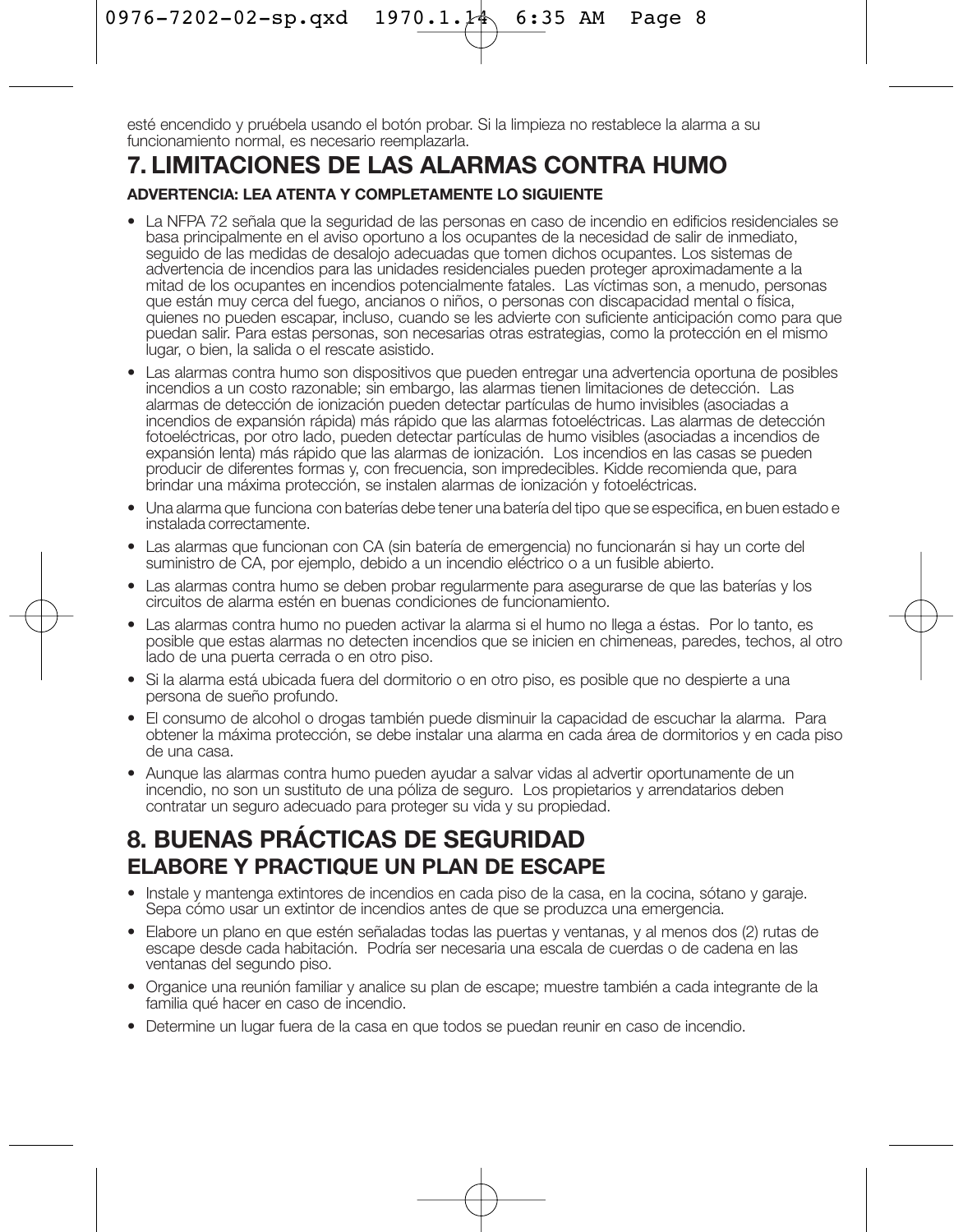esté encendido y pruébela usando el botón probar. Si la limpieza no restablece la alarma a su funcionamiento normal, es necesario reemplazarla.

### **7. LIMITACIONES DE LAS ALARMAS CONTRA HUMO**

### **ADVERTENCIA: LEA ATENTA Y COMPLETAMENTE LO SIGUIENTE**

- La NFPA 72 señala que la seguridad de las personas en caso de incendio en edificios residenciales se basa principalmente en el aviso oportuno a los ocupantes de la necesidad de salir de inmediato, seguido de las medidas de desalojo adecuadas que tomen dichos ocupantes. Los sistemas de advertencia de incendios para las unidades residenciales pueden proteger aproximadamente a la mitad de los ocupantes en incendios potencialmente fatales. Las víctimas son, a menudo, personas que están muy cerca del fuego, ancianos o niños, o personas con discapacidad mental o física, quienes no pueden escapar, incluso, cuando se les advierte con suficiente anticipación como para que puedan salir. Para estas personas, son necesarias otras estrategias, como la protección en el mismo lugar, o bien, la salida o el rescate asistido.
- Las alarmas contra humo son dispositivos que pueden entregar una advertencia oportuna de posibles incendios a un costo razonable; sin embargo, las alarmas tienen limitaciones de detección. Las alarmas de detección de ionización pueden detectar partículas de humo invisibles (asociadas a incendios de expansión rápida) más rápido que las alarmas fotoeléctricas. Las alarmas de detección fotoeléctricas, por otro lado, pueden detectar partículas de humo visibles (asociadas a incendios de expansión lenta) más rápido que las alarmas de ionización. Los incendios en las casas se pueden producir de diferentes formas y, con frecuencia, son impredecibles. Kidde recomienda que, para brindar una máxima protección, se instalen alarmas de ionización y fotoeléctricas.
- Una alarma que funciona con baterías debe tener una batería del tipo que se especifica, en buen estado e instalada correctamente.
- Las alarmas que funcionan con CA (sin batería de emergencia) no funcionarán si hay un corte del suministro de CA, por ejemplo, debido a un incendio eléctrico o a un fusible abierto.
- Las alarmas contra humo se deben probar regularmente para asegurarse de que las baterías y los circuitos de alarma estén en buenas condiciones de funcionamiento.
- Las alarmas contra humo no pueden activar la alarma si el humo no llega a éstas. Por lo tanto, es posible que estas alarmas no detecten incendios que se inicien en chimeneas, paredes, techos, al otro lado de una puerta cerrada o en otro piso.
- Si la alarma está ubicada fuera del dormitorio o en otro piso, es posible que no despierte a una persona de sueño profundo.
- El consumo de alcohol o drogas también puede disminuir la capacidad de escuchar la alarma. Para obtener la máxima protección, se debe instalar una alarma en cada área de dormitorios y en cada piso de una casa.
- Aunque las alarmas contra humo pueden ayudar a salvar vidas al advertir oportunamente de un incendio, no son un sustituto de una póliza de seguro. Los propietarios y arrendatarios deben contratar un seguro adecuado para proteger su vida y su propiedad.

### **8. BUENAS PRÁCTICAS DE SEGURIDAD ELABORE Y PRACTIQUE UN PLAN DE ESCAPE**

- Instale y mantenga extintores de incendios en cada piso de la casa, en la cocina, sótano y garaje. Sepa cómo usar un extintor de incendios antes de que se produzca una emergencia.
- Elabore un plano en que estén señaladas todas las puertas y ventanas, y al menos dos (2) rutas de escape desde cada habitación. Podría ser necesaria una escala de cuerdas o de cadena en las ventanas del segundo piso.
- Organice una reunión familiar y analice su plan de escape; muestre también a cada integrante de la familia qué hacer en caso de incendio.
- Determine un lugar fuera de la casa en que todos se puedan reunir en caso de incendio.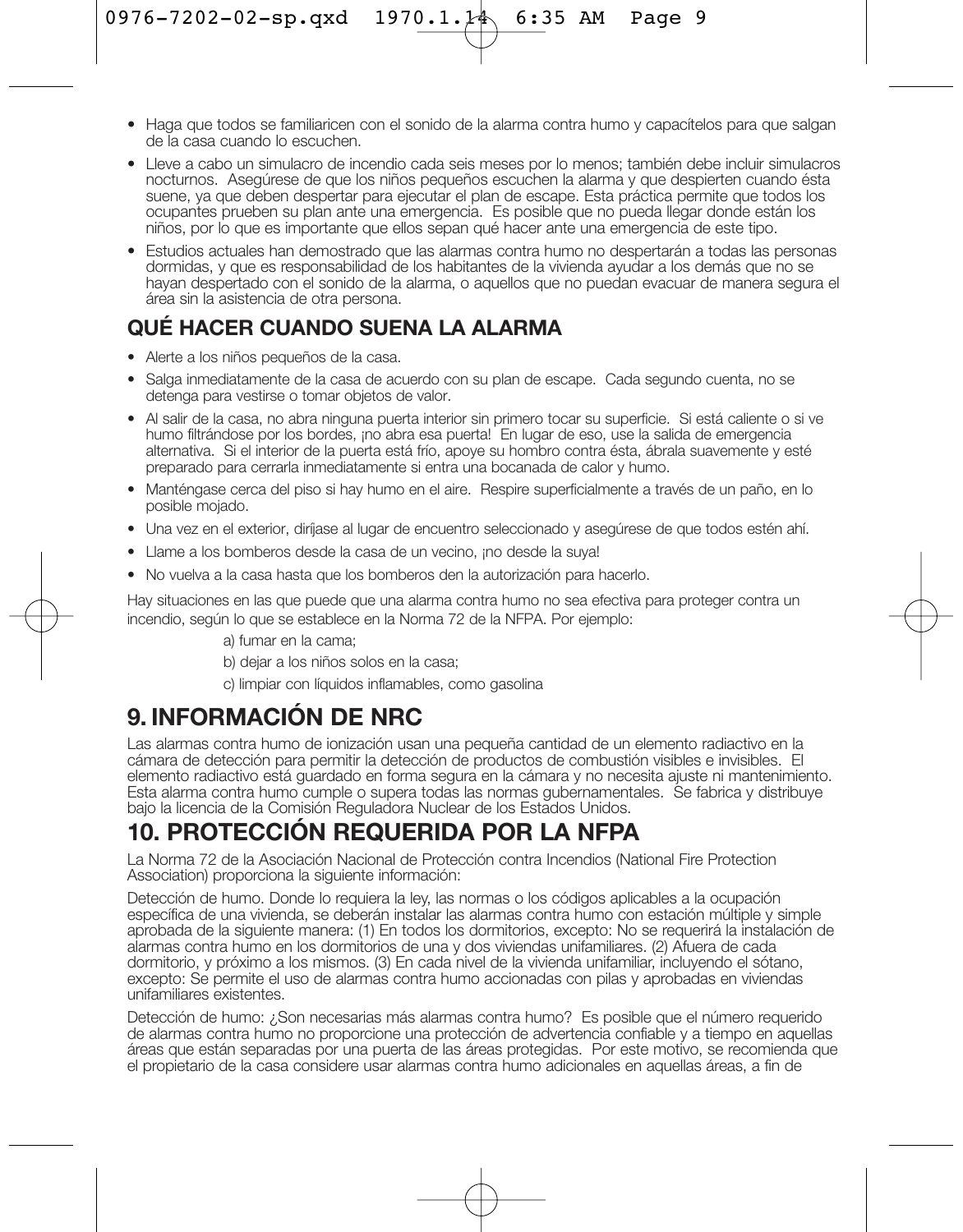- Haga que todos se familiaricen con el sonido de la alarma contra humo y capacítelos para que salgan de la casa cuando lo escuchen.
- Lleve a cabo un simulacro de incendio cada seis meses por lo menos; también debe incluir simulacros nocturnos. Asegúrese de que los niños pequeños escuchen la alarma y que despierten cuando ésta suene, ya que deben despertar para ejecutar el plan de escape. Esta práctica permite que todos los ocupantes prueben su plan ante una emergencia. Es posible que no pueda llegar donde están los niños, por lo que es importante que ellos sepan qué hacer ante una emergencia de este tipo.
- Estudios actuales han demostrado que las alarmas contra humo no despertarán a todas las personas dormidas, y que es responsabilidad de los habitantes de la vivienda ayudar a los demás que no se hayan despertado con el sonido de la alarma, o aquellos que no puedan evacuar de manera segura el área sin la asistencia de otra persona.

### **QUÉ HACER CUANDO SUENA LA ALARMA**

- Alerte a los niños pequeños de la casa.
- Salga inmediatamente de la casa de acuerdo con su plan de escape. Cada segundo cuenta, no se detenga para vestirse o tomar objetos de valor.
- Al salir de la casa, no abra ninguna puerta interior sin primero tocar su superficie. Si está caliente o si ve humo filtrándose por los bordes, ¡no abra esa puerta! En lugar de eso, use la salida de emergencia alternativa. Si el interior de la puerta está frío, apoye su hombro contra ésta, ábrala suavemente y esté preparado para cerrarla inmediatamente si entra una bocanada de calor y humo.
- Manténgase cerca del piso si hay humo en el aire. Respire superficialmente a través de un paño, en lo posible mojado.
- Una vez en el exterior, diríjase al lugar de encuentro seleccionado y asegúrese de que todos estén ahí.
- Llame a los bomberos desde la casa de un vecino, ¡no desde la suya!
- No vuelva a la casa hasta que los bomberos den la autorización para hacerlo.

Hay situaciones en las que puede que una alarma contra humo no sea efectiva para proteger contra un incendio, según lo que se establece en la Norma 72 de la NFPA. Por ejemplo:

- a) fumar en la cama;
- b) dejar a los niños solos en la casa;

c) limpiar con líquidos inflamables, como gasolina

## **9. INFORMACIÓN DE NRC**

Las alarmas contra humo de ionización usan una pequeña cantidad de un elemento radiactivo en la cámara de detección para permitir la detección de productos de combustión visibles e invisibles. El elemento radiactivo está guardado en forma segura en la cámara y no necesita ajuste ni mantenimiento. Esta alarma contra humo cumple o supera todas las normas gubernamentales. Se fabrica y distribuye bajo la licencia de la Comisión Reguladora Nuclear de los Estados Unidos.

## **10. PROTECCIÓN REQUERIDA POR LA NFPA**

La Norma 72 de la Asociación Nacional de Protección contra Incendios (National Fire Protection Association) proporciona la siguiente información:

Detección de humo. Donde lo requiera la ley, las normas o los códigos aplicables a la ocupación específica de una vivienda, se deberán instalar las alarmas contra humo con estación múltiple y simple aprobada de la siguiente manera: (1) En todos los dormitorios, excepto: No se requerirá la instalación de alarmas contra humo en los dormitorios de una y dos viviendas unifamiliares. (2) Afuera de cada dormitorio, y próximo a los mismos. (3) En cada nivel de la vivienda unifamiliar, incluyendo el sótano, excepto: Se permite el uso de alarmas contra humo accionadas con pilas y aprobadas en viviendas unifamiliares existentes.

Detección de humo: ¿Son necesarias más alarmas contra humo? Es posible que el número requerido de alarmas contra humo no proporcione una protección de advertencia confiable y a tiempo en aquellas áreas que están separadas por una puerta de las áreas protegidas. Por este motivo, se recomienda que el propietario de la casa considere usar alarmas contra humo adicionales en aquellas áreas, a fin de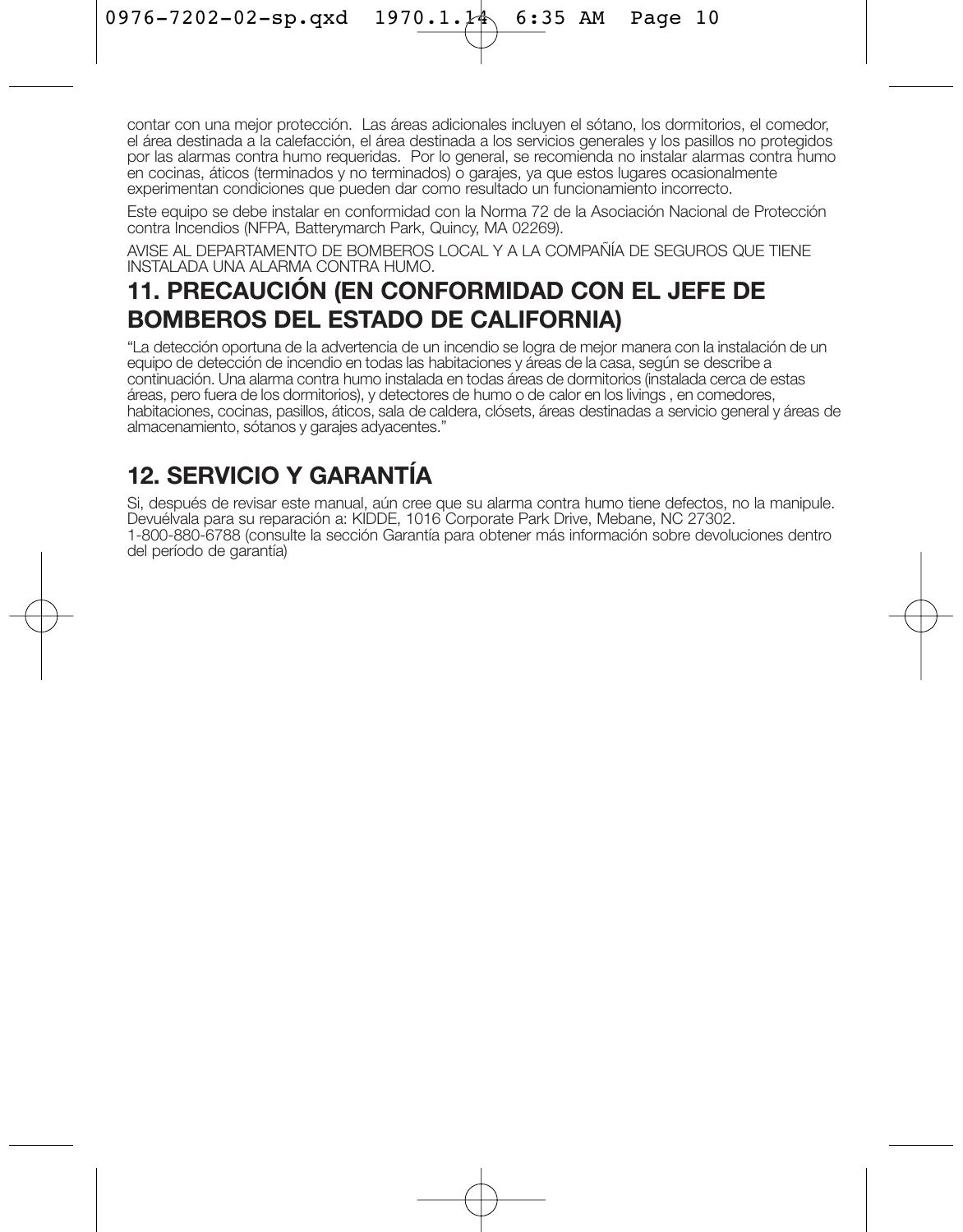contar con una mejor protección. Las áreas adicionales incluyen el sótano, los dormitorios, el comedor, el área destinada a la calefacción, el área destinada a los servicios generales y los pasillos no protegidos por las alarmas contra humo requeridas. Por lo general, se recomienda no instalar alarmas contra humo en cocinas, áticos (terminados y no terminados) o garajes, ya que estos lugares ocasionalmente experimentan condiciones que pueden dar como resultado un funcionamiento incorrecto.

Este equipo se debe instalar en conformidad con la Norma 72 de la Asociación Nacional de Protección contra Incendios (NFPA, Batterymarch Park, Quincy, MA 02269).

AVISE AL DEPARTAMENTO DE BOMBEROS LOCAL Y A LA COMPAÑÍA DE SEGUROS QUE TIENE INSTALADA UNA ALARMA CONTRA HUMO.

## **11. PRECAUCIÓN (EN CONFORMIDAD CON EL JEFE DE BOMBEROS DEL ESTADO DE CALIFORNIA)**

"La detección oportuna de la advertencia de un incendio se logra de mejor manera con la instalación de un equipo de detección de incendio en todas las habitaciones y áreas de la casa, según se describe a continuación. Una alarma contra humo instalada en todas áreas de dormitorios (instalada cerca de estas áreas, pero fuera de los dormitorios), y detectores de humo o de calor en los livings , en comedores, habitaciones, cocinas, pasillos, áticos, sala de caldera, clósets, áreas destinadas a servicio general y áreas de almacenamiento, sótanos y garajes adyacentes."

## **12. SERVICIO Y GARANTÍA**

Si, después de revisar este manual, aún cree que su alarma contra humo tiene defectos, no la manipule. Devuélvala para su reparación a: KIDDE, 1016 Corporate Park Drive, Mebane, NC 27302. 1-800-880-6788 (consulte la sección Garantía para obtener más información sobre devoluciones dentro del período de garantía)